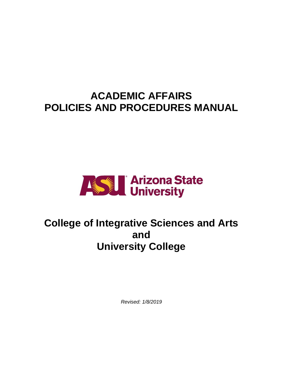# **ACADEMIC AFFAIRS POLICIES AND PROCEDURES MANUAL**



# **College of Integrative Sciences and Arts and University College**

*Revised: 1/8/2019*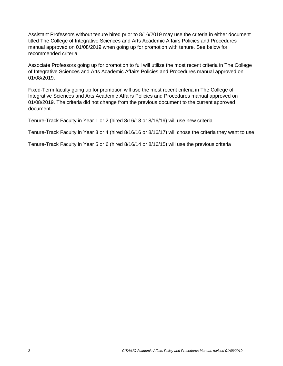Assistant Professors without tenure hired prior to 8/16/2019 may use the criteria in either document titled The College of Integrative Sciences and Arts Academic Affairs Policies and Procedures manual approved on 01/08/2019 when going up for promotion with tenure. See below for recommended criteria.

Associate Professors going up for promotion to full will utilize the most recent criteria in The College of Integrative Sciences and Arts Academic Affairs Policies and Procedures manual approved on 01/08/2019.

Fixed-Term faculty going up for promotion will use the most recent criteria in The College of Integrative Sciences and Arts Academic Affairs Policies and Procedures manual approved on 01/08/2019. The criteria did not change from the previous document to the current approved document.

Tenure-Track Faculty in Year 1 or 2 (hired 8/16/18 or 8/16/19) will use new criteria

Tenure-Track Faculty in Year 3 or 4 (hired 8/16/16 or 8/16/17) will chose the criteria they want to use

Tenure-Track Faculty in Year 5 or 6 (hired 8/16/14 or 8/16/15) will use the previous criteria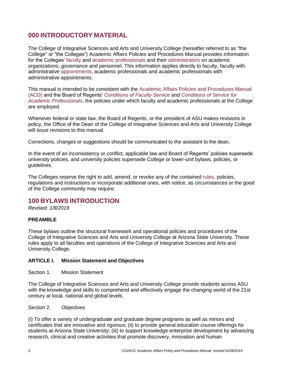# **000 INTRODUCTORY MATERIAL**

The College of Integrative Sciences and Arts and University College (hereafter referred to as "the College" or "the Colleges") Academic Affairs Policies and Procedures Manual provides information for the Colleges' [faculty](https://www.asu.edu/aad/manuals/acd/acd002.html#facultymember) and [academic professionals](https://www.asu.edu/aad/manuals/acd/acd002.html#academicprofessional) and their [administrators](https://www.asu.edu/aad/manuals/acd/acd002.html#administrator) on academic organizations, governance and personnel. This information applies directly to faculty, faculty with administrative [appointments,](https://www.asu.edu/aad/manuals/acd/acd002.html#Appointment) academic professionals and academic professionals with administrative appointments.

This manual is intended to be consistent with the [Academic Affairs Policies and Procedures Manual](https://www.asu.edu/aad/manuals/acd/acd002.html)  [\(ACD\)](https://www.asu.edu/aad/manuals/acd/acd002.html) and the Board of Regents' *[Conditions of Faculty Service](https://public.azregents.edu/Policy%20Manual/6-201-Conditions%20of%20Faculty%20Service.pdf)* and *[Conditions of Service](https://public.azregents.edu/Policy%20Manual/6-302%20Conditions%20of%20Service%20for%20Academic%20Professionals.pdf) for Academic Professionals*, the policies under which faculty and academic professionals at the College are employed.

Whenever federal or state law, the Board of Regents, or the president of ASU makes revisions in policy, the Office of the Dean of the College of Integrative Sciences and Arts and University College will issue revisions to this manual.

Corrections, changes or suggestions should be communicated to the assistant to the dean.

In the event of an inconsistency or conflict, applicable law and Board of Regents' policies supersede university policies, and university policies supersede College or lower-unit bylaws, policies, or guidelines.

The Colleges reserve the right to add, amend, or revoke any of the contained [rules,](https://www.asu.edu/aad/manuals/acd/acd002.html#rule) policies, regulations and instructions or incorporate additional ones, with notice, as circumstances or the good of the College community may require.

# **100 BYLAWS INTRODUCTION**

*Revised: 1/8/2019*

#### **PREAMBLE**

These bylaws outline the structural framework and operational policies and procedures of the College of Integrative Sciences and Arts and University College at Arizona State University. These rules apply to all faculties and operations of the College of Integrative Sciences and Arts and University College.

#### **ARTICLE I. Mission Statement and Objectives**

Section 1. Mission Statement

The College of Integrative Sciences and Arts and University College provide students across ASU with the knowledge and skills to comprehend and effectively engage the changing world of the 21st century at local, national and global levels.

Section 2. Objectives

(i) To offer a variety of undergraduate and graduate degree programs as well as minors and certificates that are innovative and rigorous; (ii) to provide general education course offerings for students at Arizona State University; (iii) to support knowledge enterprise development by advancing research, clinical and creative activities that promote discovery, innovation and human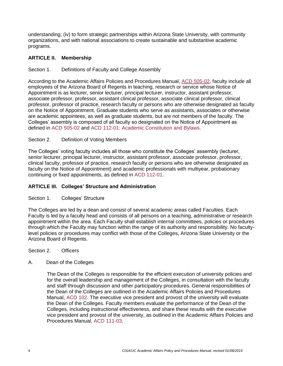understanding; (iv) to form strategic partnerships within Arizona State University, with community organizations, and with national associations to create sustainable and substantive academic programs.

#### **ARTICLE II. Membership**

### Section 1. Definitions of Faculty and College Assembly

According to the Academic Affairs Policies and Procedures Manual, [ACD 505-02,](https://www.asu.edu/aad/manuals/acd/acd505-02.html) faculty include all employees of the Arizona Board of Regents in teaching, research or service whose Notice of Appointment is as lecturer, senior lecturer, principal lecturer, instructor, assistant professor, associate professor, professor, assistant clinical professor, associate clinical professor, clinical professor, professor of practice, research faculty or persons who are otherwise designated as faculty on the Notice of Appointment. Graduate students who serve as assistants, associates or otherwise are academic appointees, as well as graduate students, but are not members of the faculty. The Colleges' assembly is composed of all faculty so designated on the Notice of Appointment as defined in [ACD 505-02](https://www.asu.edu/aad/manuals/acd/acd505-02.html) and [ACD 112-01: Academic Constitution and Bylaws.](https://www.asu.edu/aad/manuals/acd/acd112-01.html)

### Section 2. Definition of Voting Members

The Colleges' voting faculty includes all those who constitute the Colleges' assembly (lecturer, senior lecturer, principal lecturer, instructor, assistant professor, associate professor, professor, clinical faculty, professor of practice, research faculty or persons who are otherwise designated as faculty on the Notice of Appointment) and academic professionals with multiyear, probationary continuing or fixed appointments, as defined in [ACD 112-01.](https://www.asu.edu/aad/manuals/acd/acd112-01.html)

### **ARTICLE III. Colleges' Structure and Administration**

#### Section 1. Colleges' Structure

The Colleges are led by a dean and consist of several academic areas called Faculties. Each Faculty is led by a faculty head and consists of all persons on a teaching, administrative or research appointment within the area. Each Faculty shall establish internal committees, policies or procedures through which the Faculty may function within the range of its authority and responsibility. No facultylevel policies or procedures may conflict with those of the Colleges, Arizona State University or the Arizona Board of Regents.

Section 2. Officers

#### A. Dean of the Colleges

The Dean of the Colleges is responsible for the efficient execution of university policies and for the overall leadership and management of the Colleges, in consultation with the faculty and staff through discussion and other participatory procedures. General responsibilities of the Dean of the Colleges are outlined in the Academic Affairs Policies and Procedures Manual, [ACD 102.](https://www.asu.edu/aad/manuals/acd/acd102.html) The executive vice president and provost of the university will evaluate the Dean of the Colleges. Faculty members evaluate the performance of the Dean of the Colleges, including instructional effectiveness, and share these results with the executive vice president and provost of the university, as outlined in the Academic Affairs Policies and Procedures Manual, [ACD 111-03.](https://www.asu.edu/aad/manuals/acd/acd111-03.html)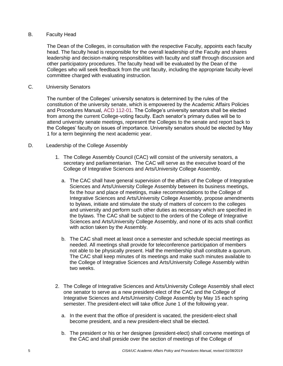#### B. Faculty Head

The Dean of the Colleges, in consultation with the respective Faculty, appoints each faculty head. The faculty head is responsible for the overall leadership of the Faculty and shares leadership and decision-making responsibilities with faculty and staff through discussion and other participatory procedures. The faculty head will be evaluated by the Dean of the Colleges who will seek feedback from the unit faculty, including the appropriate faculty-level committee charged with evaluating instruction.

#### C. University Senators

The number of the Colleges' university senators is determined by the rules of the constitution of the university senate, which is empowered by the Academic Affairs Policies and Procedures Manual, [ACD 112-01.](https://www.asu.edu/aad/manuals/acd/acd112-01.html) The College's university senators shall be elected from among the current College-voting faculty. Each senator's primary duties will be to attend university senate meetings, represent the Colleges to the senate and report back to the Colleges' faculty on issues of importance. University senators should be elected by May 1 for a term beginning the next academic year.

#### D. Leadership of the College Assembly

- 1. The College Assembly Council (CAC) will consist of the university senators, a secretary and parliamentarian. The CAC will serve as the executive board of the College of Integrative Sciences and Arts/University College Assembly.
	- a. The CAC shall have general supervision of the affairs of the College of Integrative Sciences and Arts/University College Assembly between its business meetings, fix the hour and place of meetings, make recommendations to the College of Integrative Sciences and Arts/University College Assembly, propose amendments to bylaws, initiate and stimulate the study of matters of concern to the colleges and university and perform such other duties as necessary which are specified in the bylaws. The CAC shall be subject to the orders of the College of Integrative Sciences and Arts/University College Assembly, and none of its acts shall conflict with action taken by the Assembly.
	- b. The CAC shall meet at least once a semester and schedule special meetings as needed. All meetings shall provide for teleconference participation of members not able to be physically present. Half the membership shall constitute a quorum. The CAC shall keep minutes of its meetings and make such minutes available to the College of Integrative Sciences and Arts/University College Assembly within two weeks.
- 2. The College of Integrative Sciences and Arts/University College Assembly shall elect one senator to serve as a new president-elect of the CAC and the College of Integrative Sciences and Arts/University College Assembly by May 15 each spring semester. The president-elect will take office June 1 of the following year.
	- a. In the event that the office of president is vacated, the president-elect shall become president, and a new president-elect shall be elected.
	- b. The president or his or her designee (president-elect) shall convene meetings of the CAC and shall preside over the section of meetings of the College of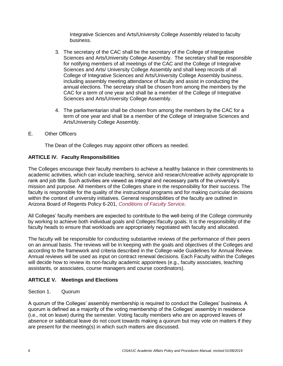Integrative Sciences and Arts/University College Assembly related to faculty business.

- 3. The secretary of the CAC shall be the secretary of the College of Integrative Sciences and Arts/University College Assembly. The secretary shall be responsible for notifying members of all meetings of the CAC and the College of Integrative Sciences and Arts/ University College Assembly and shall keep records of all College of Integrative Sciences and Arts/University College Assembly business, including assembly meeting attendance of faculty and assist in conducting the annual elections. The secretary shall be chosen from among the members by the CAC for a term of one year and shall be a member of the College of Integrative Sciences and Arts/University College Assembly.
- 4. The parliamentarian shall be chosen from among the members by the CAC for a term of one year and shall be a member of the College of Integrative Sciences and Arts/University College Assembly.
- E. Other Officers

The Dean of the Colleges may appoint other officers as needed.

### **ARTICLE IV. Faculty Responsibilities**

The Colleges encourage their faculty members to achieve a healthy balance in their commitments to academic activities, which can include teaching, service and research/creative activity appropriate to rank and job title. Such activities are viewed as integral and necessary parts of the university's mission and purpose. All members of the Colleges share in the responsibility for their success. The faculty is responsible for the quality of the instructional programs and for making curricular decisions within the context of university initiatives. General responsibilities of the faculty are outlined in Arizona Board of Regents Policy 6-201, *[Conditions of Faculty Service](https://public.azregents.edu/Policy%20Manual/6-201-Conditions%20of%20Faculty%20Service.pdf)*.

All Colleges' faculty members are expected to contribute to the well-being of the College community by working to achieve both individual goals and Colleges'/faculty goals. It is the responsibility of the faculty heads to ensure that workloads are appropriately negotiated with faculty and allocated.

The faculty will be responsible for conducting substantive reviews of the performance of their peers on an annual basis. The reviews will be in keeping with the goals and objectives of the Colleges and according to the framework and criteria described in the College-wide Guidelines for Annual Review. Annual reviews will be used as input on contract renewal decisions. Each Faculty within the Colleges will decide how to review its non-faculty academic appointees (e.g., faculty associates, teaching assistants, or associates, course managers and course coordinators).

### **ARTICLE V. Meetings and Elections**

### Section 1. Quorum

A quorum of the Colleges' assembly membership is required to conduct the Colleges' business. A quorum is defined as a majority of the voting membership of the Colleges' assembly in residence (i.e., not on leave) during the semester. Voting faculty members who are on approved leaves of absence or sabbatical leave do not count towards making a quorum but may vote on matters if they are present for the meeting(s) in which such matters are discussed.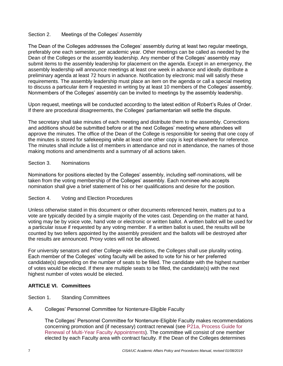#### Section 2. Meetings of the Colleges' Assembly

The Dean of the Colleges addresses the Colleges' assembly during at least two regular meetings, preferably one each semester, per academic year. Other meetings can be called as needed by the Dean of the Colleges or the assembly leadership. Any member of the Colleges' assembly may submit items to the assembly leadership for placement on the agenda. Except in an emergency, the assembly leadership will announce meetings at least one week in advance and ideally distribute a preliminary agenda at least 72 hours in advance. Notification by electronic mail will satisfy these requirements. The assembly leadership must place an item on the agenda or call a special meeting to discuss a particular item if requested in writing by at least 10 members of the Colleges' assembly. Nonmembers of the Colleges' assembly can be invited to meetings by the assembly leadership.

Upon request, meetings will be conducted according to the latest edition of Robert's Rules of Order. If there are procedural disagreements, the Colleges' parliamentarian will settle the dispute.

The secretary shall take minutes of each meeting and distribute them to the assembly. Corrections and additions should be submitted before or at the next Colleges' meeting where attendees will approve the minutes. The office of the Dean of the College is responsible for seeing that one copy of the minutes is stored for safekeeping while at least one other copy is kept elsewhere for reference. The minutes shall include a list of members in attendance and not in attendance, the names of those making motions and amendments and a summary of all actions taken.

#### Section 3. Nominations

Nominations for positions elected by the Colleges' assembly, including self-nominations, will be taken from the voting membership of the Colleges' assembly. Each nominee who accepts nomination shall give a brief statement of his or her qualifications and desire for the position.

#### Section 4. Voting and Election Procedures

Unless otherwise stated in this document or other documents referenced herein, matters put to a vote are typically decided by a simple majority of the votes cast. Depending on the matter at hand, voting may be by voice vote, hand vote or electronic or written ballot. A written ballot will be used for a particular issue if requested by any voting member. If a written ballot is used, the results will be counted by two tellers appointed by the assembly president and the ballots will be destroyed after the results are announced. Proxy votes will not be allowed.

For university senators and other College-wide elections, the Colleges shall use plurality voting. Each member of the Colleges' voting faculty will be asked to vote for his or her preferred candidate(s) depending on the number of seats to be filled. The candidate with the highest number of votes would be elected. If there are multiple seats to be filled, the candidate(s) with the next highest number of votes would be elected.

#### **ARTICLE VI. Committees**

Section 1. Standing Committees

#### A. Colleges' Personnel Committee for Nontenure-Eligible Faculty

The Colleges' Personnel Committee for Nontenure-Eligible Faculty makes recommendations concerning promotion and (if necessary) contract renewal (see [P21a, Process Guide for](https://provost.asu.edu/sites/default/files/page/1562/p21a-process-guide-faculty-my-renewal-new-20171013.pdf)  [Renewal of Multi-Year Faculty Appointments\)](https://provost.asu.edu/sites/default/files/page/1562/p21a-process-guide-faculty-my-renewal-new-20171013.pdf). The committee will consist of one member elected by each Faculty area with contract faculty. If the Dean of the Colleges determines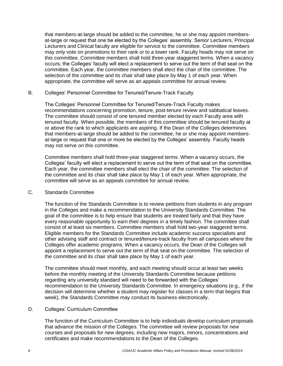that members-at-large should be added to the committee, he or she may appoint membersat-large or request that one be elected by the Colleges' assembly. Senior Lecturers, Principal Lecturers and Clinical faculty are eligible for service to the committee. Committee members may only vote on promotions to their rank or to a lower rank. Faculty heads may not serve on this committee. Committee members shall hold three-year staggered terms. When a vacancy occurs, the Colleges' faculty will elect a replacement to serve out the term of that seat on the committee. Each year, the committee members shall elect the chair of the committee. The selection of the committee and its chair shall take place by May 1 of each year. When appropriate, the committee will serve as an appeals committee for annual review.

#### B. Colleges' Personnel Committee for Tenured/Tenure-Track Faculty

The Colleges' Personnel Committee for Tenured/Tenure-Track Faculty makes recommendations concerning promotion, tenure, post-tenure review and sabbatical leaves. The committee should consist of one tenured member elected by each Faculty area with tenured faculty. When possible, the members of this committee should be tenured faculty at or above the rank to which applicants are aspiring. If the Dean of the Colleges determines that members-at-large should be added to the committee, he or she may appoint membersat-large or request that one or more be elected by the Colleges' assembly. Faculty heads may not serve on this committee.

Committee members shall hold three-year staggered terms. When a vacancy occurs, the Colleges' faculty will elect a replacement to serve out the term of that seat on the committee. Each year, the committee members shall elect the chair of the committee. The selection of the committee and its chair shall take place by May 1 of each year. When appropriate, the committee will serve as an appeals committee for annual review.

#### C. Standards Committee

The function of the Standards Committee is to review petitions from students in any program in the Colleges and make a recommendation to the University Standards Committee. The goal of the committee is to help ensure that students are treated fairly and that they have every reasonable opportunity to earn their degrees in a timely fashion. The committee shall consist of at least six members. Committee members shall hold two-year staggered terms. Eligible members for the Standards Committee include academic success specialists and other advising staff and contract or tenured/tenure-track faculty from all campuses where the Colleges offer academic programs. When a vacancy occurs, the Dean of the Colleges will appoint a replacement to serve out the term of that seat on the committee. The selection of the committee and its chair shall take place by May 1 of each year.

The committee should meet monthly, and each meeting should occur at least two weeks before the monthly meeting of the University Standards Committee because petitions regarding any university standard will need to be forwarded with the Colleges' recommendation to the University Standards Committee. In emergency situations (e.g., if the decision will determine whether a student may register for classes in a term that begins that week), the Standards Committee may conduct its business electronically.

#### D. Colleges' Curriculum Committee

The function of the Curriculum Committee is to help individuals develop curriculum proposals that advance the mission of the Colleges. The committee will review proposals for new courses and proposals for new degrees, including new majors, minors, concentrations and certificates and make recommendations to the Dean of the Colleges.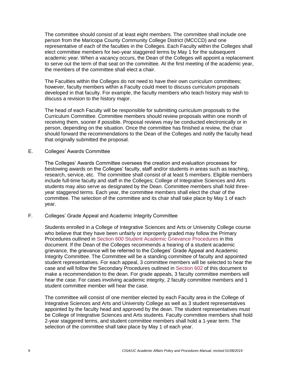The committee should consist of at least eight members. The committee shall include one person from the Maricopa County Community College District (MCCCD) and one representative of each of the faculties in the Colleges. Each Faculty within the Colleges shall elect committee members for two-year staggered terms by May 1 for the subsequent academic year. When a vacancy occurs, the Dean of the Colleges will appoint a replacement to serve out the term of that seat on the committee. At the first meeting of the academic year, the members of the committee shall elect a chair.

The Faculties within the Colleges do not need to have their own curriculum committees; however, faculty members within a Faculty could meet to discuss curriculum proposals developed in that faculty. For example, the faculty members who teach history may wish to discuss a revision to the history major.

The head of each Faculty will be responsible for submitting curriculum proposals to the Curriculum Committee. Committee members should review proposals within one month of receiving them, sooner if possible. Proposal reviews may be conducted electronically or in person, depending on the situation. Once the committee has finished a review, the chair should forward the recommendations to the Dean of the Colleges and notify the faculty head that originally submitted the proposal.

E. Colleges' Awards Committee

The Colleges' Awards Committee oversees the creation and evaluation processes for bestowing awards on the Colleges' faculty, staff and/or students in areas such as teaching, research, service, etc. The committee shall consist of at least 5 members. Eligible members include full-time faculty and staff in the Colleges; College of Integrative Sciences and Arts students may also serve as designated by the Dean. Committee members shall hold threeyear staggered terms. Each year, the committee members shall elect the chair of the committee. The selection of the committee and its chair shall take place by May 1 of each year.

F. Colleges' Grade Appeal and Academic Integrity Committee

Students enrolled in a College of Integrative Sciences and Arts or University College course who believe that they have been unfairly or improperly graded may follow the Primary Procedures outlined in [Section 600 Student Academic Grievance Procedures](#page-30-0) in this document. If the Dean of the Colleges recommends a hearing of a student academic grievance, the grievance will be referred to the Colleges' Grade Appeal and Academic Integrity Committee. The Committee will be a standing committee of faculty and appointed student representatives. For each appeal, 3 committee members will be selected to hear the case and will follow the Secondary Procedures outlined in [Section 602](#page-31-0) of this document to make a recommendation to the dean. For grade appeals, 3 faculty committee members will hear the case. For cases involving academic integrity, 2 faculty committee members and 1 student committee member will hear the case.

The committee will consist of one member elected by each Faculty area in the College of Integrative Sciences and Arts and University College as well as 3 student representatives appointed by the faculty head and approved by the dean. The student representatives must be College of Integrative Sciences and Arts students. Faculty committee members shall hold 2-year staggered terms, and student committee members shall hold a 1-year term. The selection of the committee shall take place by May 1 of each year.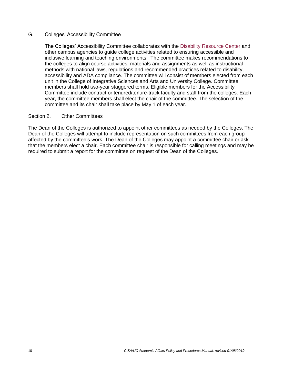#### G. Colleges' Accessibility Committee

The Colleges' Accessibility Committee collaborates with the [Disability Resource Center](https://eoss.asu.edu/drc) and other campus agencies to guide college activities related to ensuring accessible and inclusive learning and teaching environments. The committee makes recommendations to the colleges to align course activities, materials and assignments as well as instructional methods with national laws, regulations and recommended practices related to disability, accessibility and ADA compliance. The committee will consist of members elected from each unit in the College of Integrative Sciences and Arts and University College. Committee members shall hold two-year staggered terms. Eligible members for the Accessibility Committee include contract or tenured/tenure-track faculty and staff from the colleges. Each year, the committee members shall elect the chair of the committee. The selection of the committee and its chair shall take place by May 1 of each year.

#### Section 2. Other Committees

The Dean of the Colleges is authorized to appoint other committees as needed by the Colleges. The Dean of the Colleges will attempt to include representation on such committees from each group affected by the committee's work. The Dean of the Colleges may appoint a committee chair or ask that the members elect a chair. Each committee chair is responsible for calling meetings and may be required to submit a report for the committee on request of the Dean of the Colleges.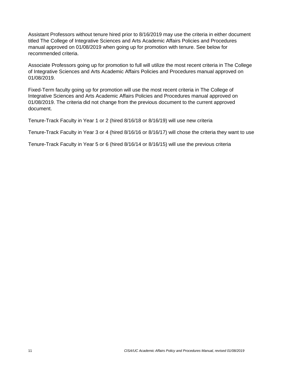Assistant Professors without tenure hired prior to 8/16/2019 may use the criteria in either document titled The College of Integrative Sciences and Arts Academic Affairs Policies and Procedures manual approved on 01/08/2019 when going up for promotion with tenure. See below for recommended criteria.

Associate Professors going up for promotion to full will utilize the most recent criteria in The College of Integrative Sciences and Arts Academic Affairs Policies and Procedures manual approved on 01/08/2019.

Fixed-Term faculty going up for promotion will use the most recent criteria in The College of Integrative Sciences and Arts Academic Affairs Policies and Procedures manual approved on 01/08/2019. The criteria did not change from the previous document to the current approved document.

Tenure-Track Faculty in Year 1 or 2 (hired 8/16/18 or 8/16/19) will use new criteria

Tenure-Track Faculty in Year 3 or 4 (hired 8/16/16 or 8/16/17) will chose the criteria they want to use

Tenure-Track Faculty in Year 5 or 6 (hired 8/16/14 or 8/16/15) will use the previous criteria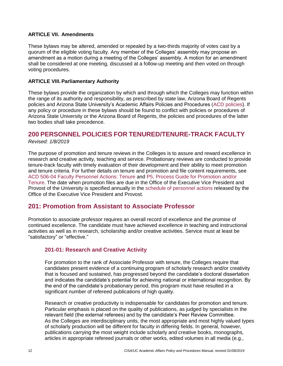#### **ARTICLE VII. Amendments**

These bylaws may be altered, amended or repealed by a two-thirds majority of votes cast by a quorum of the eligible voting faculty. Any member of the Colleges' assembly may propose an amendment as a motion during a meeting of the Colleges' assembly. A motion for an amendment shall be considered at one meeting, discussed at a follow-up meeting and then voted on through voting procedures.

#### **ARTICLE VIII.Parliamentary Authority**

These bylaws provide the organization by which and through which the Colleges may function within the range of its authority and responsibility, as prescribed by state law, Arizona Board of Regents policies and Arizona State University's Academic Affairs Policies and Procedures [\(ACD policies\)](https://www.asu.edu/aad/manuals/acd/acd505-02.html). If any policy or procedure in these bylaws should be found to conflict with policies or procedures of Arizona State University or the Arizona Board of Regents, the policies and procedures of the latter two bodies shall take precedence.

# **200 PERSONNEL POLICIES FOR TENURED/TENURE-TRACK FACULTY**

#### *Revised: 1/8/2019*

The purpose of promotion and tenure reviews in the Colleges is to assure and reward excellence in research and creative activity, teaching and service. Probationary reviews are conducted to provide tenure-track faculty with timely evaluation of their development and their ability to meet promotion and tenure criteria. For further details on tenure and promotion and file content requirements, see [ACD 506-04 Faculty Personnel Actions: Tenure](https://www.asu.edu/aad/manuals/acd/acd506-04.html) and [P5, Process Guide for Promotion and/or](https://provost.asu.edu/sites/default/files/page/1562/process-guide-promotion-tenure_2018.pdf)  [Tenure.](https://provost.asu.edu/sites/default/files/page/1562/process-guide-promotion-tenure_2018.pdf) The date when promotion files are due in the Office of the Executive Vice President and Provost of the University is specified annually in the [schedule of personnel actions](https://www.asu.edu/aad/manuals/acd/schedule.html) released by the Office of the Executive Vice President and Provost.

### **201: Promotion from Assistant to Associate Professor**

Promotion to associate professor requires an overall record of excellence and the promise of continued excellence. The candidate must have achieved excellence in teaching and instructional activities as well as in research, scholarship and/or creative activities. Service must at least be "satisfactory" or "effective."

### <span id="page-11-0"></span>**201-01: Research and Creative Activity**

For promotion to the rank of Associate Professor with tenure, the Colleges require that candidates present evidence of a continuing program of scholarly research and/or creativity that is focused and sustained, has progressed beyond the candidate's doctoral dissertation and indicates the candidate's potential for achieving national or international recognition. By the end of the candidate's probationary period, this program must have resulted in a significant number of refereed publications of high quality.

Research or creative productivity is indispensable for candidates for promotion and tenure. Particular emphasis is placed on the quality of publications, as judged by specialists in the relevant field (the external referees) and by the candidate's Peer Review Committee. As the Colleges are interdisciplinary units, the most appropriate and most highly valued types of scholarly production will be different for faculty in differing fields. In general, however, publications carrying the most weight include scholarly and creative books, monographs, articles in appropriate refereed journals or other works, edited volumes in all media (e.g.,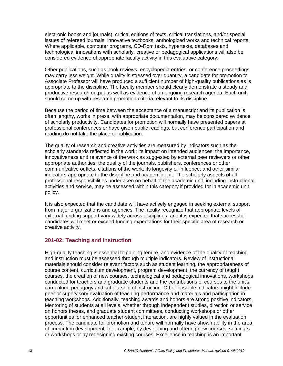electronic books and journals), critical editions of texts, critical translations, and/or special issues of refereed journals, innovative textbooks, anthologized works and technical reports. Where applicable, computer programs, CD-Rom texts, hypertexts, databases and technological innovations with scholarly, creative or pedagogical applications will also be considered evidence of appropriate faculty activity in this evaluative category.

Other publications, such as book reviews, encyclopedia entries, or conference proceedings may carry less weight. While quality is stressed over quantity, a candidate for promotion to Associate Professor will have produced a sufficient number of high-quality publications as is appropriate to the discipline. The faculty member should clearly demonstrate a steady and productive research output as well as evidence of an ongoing research agenda. Each unit should come up with research promotion criteria relevant to its discipline.

Because the period of time between the acceptance of a manuscript and its publication is often lengthy, works in press, with appropriate documentation, may be considered evidence of scholarly productivity. Candidates for promotion will normally have presented papers at professional conferences or have given public readings, but conference participation and reading do not take the place of publication.

The quality of research and creative activities are measured by indicators such as the scholarly standards reflected in the work; its impact on intended audiences; the importance, innovativeness and relevance of the work as suggested by external peer reviewers or other appropriate authorities; the quality of the journals, publishers, conferences or other communicative outlets; citations of the work; its longevity of influence; and other similar indicators appropriate to the discipline and academic unit. The scholarly aspects of all professional responsibilities undertaken on behalf of the academic unit, including instructional activities and service, may be assessed within this category if provided for in academic unit policy.

It is also expected that the candidate will have actively engaged in seeking external support from major organizations and agencies. The faculty recognize that appropriate levels of external funding support vary widely across disciplines, and it is expected that successful candidates will meet or exceed funding expectations for their specific area of research or creative activity.

#### **201-02: Teaching and Instruction**

High-quality teaching is essential to gaining tenure, and evidence of the quality of teaching and instruction must be assessed through multiple indicators. Review of instructional materials should consider relevant factors such as student learning, the appropriateness of course content, curriculum development, program development, the currency of taught courses, the creation of new courses, technological and pedagogical innovations, workshops conducted for teachers and graduate students and the contributions of courses to the unit's curriculum, pedagogy and scholarship of instruction. Other possible indicators might include peer or supervisory evaluation of teaching performance and materials and participation in teaching workshops. Additionally, teaching awards and honors are strong positive indicators. Mentoring of students at all levels, whether through independent studies, direction or service on honors theses, and graduate student committees, conducting workshops or other opportunities for enhanced teacher-student interaction, are highly valued in the evaluation process. The candidate for promotion and tenure will normally have shown ability in the area of curriculum development, for example, by developing and offering new courses, seminars or workshops or by redesigning existing courses. Excellence in teaching is an important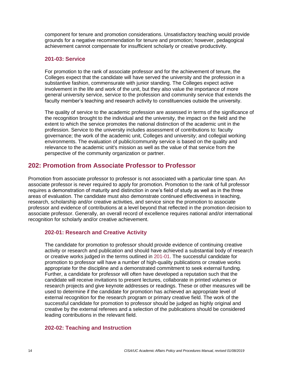component for tenure and promotion considerations. Unsatisfactory teaching would provide grounds for a negative recommendation for tenure and promotion; however, pedagogical achievement cannot compensate for insufficient scholarly or creative productivity.

### <span id="page-13-0"></span>**201-03: Service**

For promotion to the rank of associate professor and for the achievement of tenure, the Colleges expect that the candidate will have served the university and the profession in a substantive fashion, commensurate with junior standing. The Colleges expect active involvement in the life and work of the unit, but they also value the importance of more general university service, service to the profession and community service that extends the faculty member's teaching and research activity to constituencies outside the university.

The quality of service to the academic profession are assessed in terms of the significance of the recognition brought to the individual and the university, the impact on the field and the extent to which the service promotes the national distinction of the academic unit in the profession. Service to the university includes assessment of contributions to: faculty governance; the work of the academic unit, Colleges and university; and collegial working environments. The evaluation of public/community service is based on the quality and relevance to the academic unit's mission as well as the value of that service from the perspective of the community organization or partner.

# **202: Promotion from Associate Professor to Professor**

Promotion from associate professor to professor is not associated with a particular time span. An associate professor is never required to apply for promotion. Promotion to the rank of full professor requires a demonstration of maturity and distinction in one's field of study as well as in the three areas of evaluation. The candidate must also demonstrate continued effectiveness in teaching, research, scholarship and/or creative activities, and service since the promotion to associate professor and evidence of contributions at a level beyond that reflected in the promotion decision to associate professor. Generally, an overall record of excellence requires national and/or international recognition for scholarly and/or creative achievement.

### **202-01: Research and Creative Activity**

The candidate for promotion to professor should provide evidence of continuing creative activity or research and publication and should have achieved a substantial body of research or creative works judged in the terms outlined in [201-01.](#page-11-0) The successful candidate for promotion to professor will have a number of high-quality publications or creative works appropriate for the discipline and a demonstrated commitment to seek external funding. Further, a candidate for professor will often have developed a reputation such that the candidate will receive invitations to present lectures, collaborate in printed volumes or research projects and give keynote addresses or readings. These or other measures will be used to determine if the candidate for promotion has achieved an appropriate level of external recognition for the research program or primary creative field. The work of the successful candidate for promotion to professor should be judged as highly original and creative by the external referees and a selection of the publications should be considered leading contributions in the relevant field.

### **202-02: Teaching and Instruction**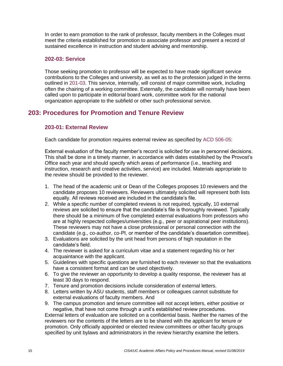In order to earn promotion to the rank of professor, faculty members in the Colleges must meet the criteria established for promotion to associate professor and present a record of sustained excellence in instruction and student advising and mentorship.

### **202-03: Service**

Those seeking promotion to professor will be expected to have made significant service contributions to the Colleges and university, as well as to the profession judged in the terms outlined in [201-03.](#page-13-0) This service, internally, will consist of major committee work, including often the chairing of a working committee. Externally, the candidate will normally have been called upon to participate in editorial board work, committee work for the national organization appropriate to the subfield or other such professional service.

# **203: Procedures for Promotion and Tenure Review**

### **203-01: External Review**

Each candidate for promotion requires external review as specified by [ACD 506-05:](https://www.asu.edu/aad/manuals/acd/acd506-05.html)

External evaluation of the faculty member's record is solicited for use in personnel decisions. This shall be done in a timely manner, in accordance with dates established by the Provost's Office each year and should specify which areas of performance (i.e., teaching and instruction, research and creative activities, service) are included. Materials appropriate to the review should be provided to the reviewer.

- 1. The head of the academic unit or Dean of the Colleges proposes 10 reviewers and the candidate proposes 10 reviewers. Reviewers ultimately solicited will represent both lists equally. All reviews received are included in the candidate's file.
- 2. While a specific number of completed reviews is not required, typically, 10 external reviews are solicited to ensure that the candidate's file is thoroughly reviewed. Typically there should be a minimum of five completed external evaluations from professors who are at highly respected colleges/universities (e.g., peer or aspirational peer institutions). These reviewers may not have a close professional or personal connection with the candidate (e.g., co-author, co-PI, or member of the candidate's dissertation committee).
- 3. Evaluations are solicited by the unit head from persons of high reputation in the candidate's field.
- 4. The reviewer is asked for a curriculum vitae and a statement regarding his or her acquaintance with the applicant.
- 5. Guidelines with specific questions are furnished to each reviewer so that the evaluations have a consistent format and can be used objectively.
- 6. To give the reviewer an opportunity to develop a quality response, the reviewer has at least 30 days to respond.
- 7. Tenure and promotion decisions include consideration of external letters.
- 8. Letters written by ASU students, staff members or colleagues cannot substitute for external evaluations of faculty members. And
- 9. The campus promotion and tenure committee will not accept letters, either positive or negative, that have not come through a unit's established review procedures.

External letters of evaluation are solicited on a confidential basis. Neither the names of the reviewers nor the contents of the letters are to be shared with the applicant for tenure or promotion. Only officially appointed or elected review committees or other faculty groups specified by unit bylaws and administrators in the review hierarchy examine the letters.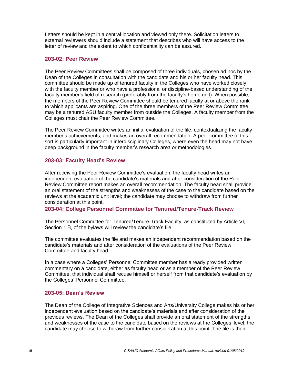Letters should be kept in a central location and viewed only there. Solicitation letters to external reviewers should include a statement that describes who will have access to the letter of review and the extent to which confidentiality can be assured.

### **203-02: Peer Review**

The Peer Review Committees shall be composed of three individuals, chosen ad hoc by the Dean of the Colleges in consultation with the candidate and his or her faculty head. This committee should be made up of tenured faculty in the Colleges who have worked closely with the faculty member or who have a professional or discipline-based understanding of the faculty member's field of research (preferably from the faculty's home unit). When possible, the members of the Peer Review Committee should be tenured faculty at or above the rank to which applicants are aspiring. One of the three members of the Peer Review Committee may be a tenured ASU faculty member from outside the Colleges. A faculty member from the Colleges must chair the Peer Review Committee.

The Peer Review Committee writes an initial evaluation of the file, contextualizing the faculty member's achievements, and makes an overall recommendation. A peer committee of this sort is particularly important in interdisciplinary Colleges, where even the head may not have deep background in the faculty member's research area or methodologies.

### **203-03: Faculty Head's Review**

After receiving the Peer Review Committee's evaluation, the faculty head writes an independent evaluation of the candidate's materials and after consideration of the Peer Review Committee report makes an overall recommendation. The faculty head shall provide an oral statement of the strengths and weaknesses of the case to the candidate based on the reviews at the academic unit level; the candidate may choose to withdraw from further consideration at this point.

#### **203-04: College Personnel Committee for Tenured/Tenure-Track Review**

The Personnel Committee for Tenured/Tenure-Track Faculty, as constituted by Article VI, Section 1.B, of the bylaws will review the candidate's file.

The committee evaluates the file and makes an independent recommendation based on the candidate's materials and after consideration of the evaluations of the Peer Review Committee and faculty head.

In a case where a Colleges' Personnel Committee member has already provided written commentary on a candidate, either as faculty head or as a member of the Peer Review Committee, that individual shall recuse himself or herself from that candidate's evaluation by the Colleges' Personnel Committee.

#### **203-05: Dean's Review**

The Dean of the College of Integrative Sciences and Arts/University College makes his or her independent evaluation based on the candidate's materials and after consideration of the previous reviews. The Dean of the Colleges shall provide an oral statement of the strengths and weaknesses of the case to the candidate based on the reviews at the Colleges' level; the candidate may choose to withdraw from further consideration at this point. The file is then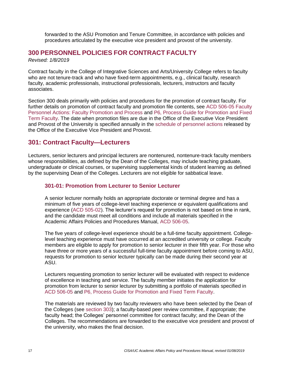forwarded to the ASU Promotion and Tenure Committee, in accordance with policies and procedures articulated by the executive vice president and provost of the university.

## **300 PERSONNEL POLICIES FOR CONTRACT FACULTY**

*Revised: 1/8/2019*

Contract faculty in the College of Integrative Sciences and Arts/University College refers to faculty who are not tenure-track and who have fixed-term appointments, e.g., clinical faculty, research faculty, academic professionals, instructional professionals, lecturers, instructors and faculty associates.

Section 300 deals primarily with policies and procedures for the promotion of contract faculty. For further details on promotion of contract faculty and promotion file contents, see [ACD 506-05 Faculty](https://www.asu.edu/aad/manuals/acd/acd506-05.html)  [Personnel Actions: Faculty Promotion](https://www.asu.edu/aad/manuals/acd/acd506-05.html) and Process and [P6, Process Guide for Promotion and Fixed](https://provost.asu.edu/sites/default/files/page/1562/p6-process-guide-fixed-term-faculty-promotion09292016.pdf)  [Term Faculty.](https://provost.asu.edu/sites/default/files/page/1562/p6-process-guide-fixed-term-faculty-promotion09292016.pdf) The date when promotion files are due in the Office of the Executive Vice President and Provost of the University is specified annually in the [schedule of personnel actions](https://www.asu.edu/aad/manuals/acd/schedule.html) released by the Office of the Executive Vice President and Provost.

### **301: Contract Faculty—Lecturers**

Lecturers, senior lecturers and principal lecturers are nontenured, nontenure-track faculty members whose responsibilities, as defined by the Dean of the Colleges, may include teaching graduate, undergraduate or clinical courses, or supervising supplemental kinds of student learning as defined by the supervising Dean of the Colleges. Lecturers are not eligible for sabbatical leave.

### **301-01: Promotion from Lecturer to Senior Lecturer**

A senior lecturer normally holds an appropriate doctorate or terminal degree and has a minimum of five years of college-level teaching experience or equivalent qualifications and experience [\(ACD 505-02\)](https://www.asu.edu/aad/manuals/acd/acd505-02.html). The lecturer's request for promotion is not based on time in rank, and the candidate must meet all conditions and include all materials specified in the Academic Affairs Policies and Procedures Manual, [ACD 506-05.](https://www.asu.edu/aad/manuals/acd/acd506-05.html)

The five years of college-level experience should be a full-time faculty appointment. Collegelevel teaching experience must have occurred at an accredited university or college. Faculty members are eligible to apply for promotion to senior lecturer in their fifth year. For those who have three or more years of a successful full-time faculty appointment before coming to ASU, requests for promotion to senior lecturer typically can be made during their second year at ASU.

Lecturers requesting promotion to senior lecturer will be evaluated with respect to evidence of excellence in teaching and service. The faculty member initiates the application for promotion from lecturer to senior lecturer by submitting a portfolio of materials specified in [ACD 506-05](https://www.asu.edu/aad/manuals/acd/acd506-05.html) and [P6, Process Guide for Promotion and Fixed Term Faculty.](https://provost.asu.edu/sites/default/files/page/1562/p6-process-guide-fixed-term-faculty-promotion09292016.pdf)

The materials are reviewed by two faculty reviewers who have been selected by the Dean of the Colleges (see [section 303\)](#page-20-0); a faculty-based peer review committee, if appropriate; the faculty head; the Colleges' personnel committee for contract faculty; and the Dean of the Colleges. The recommendations are forwarded to the executive vice president and provost of the university, who makes the final decision.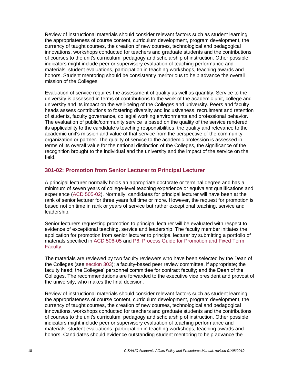Review of instructional materials should consider relevant factors such as student learning, the appropriateness of course content, curriculum development, program development, the currency of taught courses, the creation of new courses, technological and pedagogical innovations, workshops conducted for teachers and graduate students and the contributions of courses to the unit's curriculum, pedagogy and scholarship of instruction. Other possible indicators might include peer or supervisory evaluation of teaching performance and materials, student evaluations, participation in teaching workshops, teaching awards and honors. Student mentoring should be consistently meritorious to help advance the overall mission of the Colleges.

Evaluation of service requires the assessment of quality as well as quantity. Service to the university is assessed in terms of contributions to the work of the academic unit, college and university and its impact on the well-being of the Colleges and university. Peers and faculty heads assess contributions to fostering diversity and inclusiveness, recruitment and retention of students, faculty governance, collegial working environments and professional behavior. The evaluation of public/community service is based on the quality of the service rendered, its applicability to the candidate's teaching responsibilities, the quality and relevance to the academic unit's mission and value of that service from the perspective of the community organization or partner. The quality of service to the academic profession is assessed in terms of its overall value for the national distinction of the Colleges, the significance of the recognition brought to the individual and the university and the impact of the service on the field.

### **301-02: Promotion from Senior Lecturer to Principal Lecturer**

A principal lecturer normally holds an appropriate doctorate or terminal degree and has a minimum of seven years of college-level teaching experience or equivalent qualifications and experience [\(ACD 505-02\)](https://www.asu.edu/aad/manuals/acd/acd505-02.html). Normally, candidates for principal lecturer will have been at the rank of senior lecturer for three years full time or more. However, the request for promotion is based not on time in rank or years of service but rather exceptional teaching, service and leadership.

Senior lecturers requesting promotion to principal lecturer will be evaluated with respect to evidence of exceptional teaching, service and leadership. The faculty member initiates the application for promotion from senior lecturer to principal lecturer by submitting a portfolio of materials specified in [ACD 506-05](https://www.asu.edu/aad/manuals/acd/acd506-05.html) and [P6, Process Guide for Promotion and Fixed Term](https://provost.asu.edu/sites/default/files/page/1562/p6-process-guide-fixed-term-faculty-promotion09292016.pdf)  [Faculty.](https://provost.asu.edu/sites/default/files/page/1562/p6-process-guide-fixed-term-faculty-promotion09292016.pdf)

The materials are reviewed by two faculty reviewers who have been selected by the Dean of the Colleges (see [section 303\)](#page-20-0); a faculty-based peer review committee, if appropriate; the faculty head; the Colleges' personnel committee for contract faculty; and the Dean of the Colleges. The recommendations are forwarded to the executive vice president and provost of the university, who makes the final decision.

Review of instructional materials should consider relevant factors such as student learning, the appropriateness of course content, curriculum development, program development, the currency of taught courses, the creation of new courses, technological and pedagogical innovations, workshops conducted for teachers and graduate students and the contributions of courses to the unit's curriculum, pedagogy and scholarship of instruction. Other possible indicators might include peer or supervisory evaluation of teaching performance and materials, student evaluations, participation in teaching workshops, teaching awards and honors. Candidates should evidence outstanding student mentoring to help advance the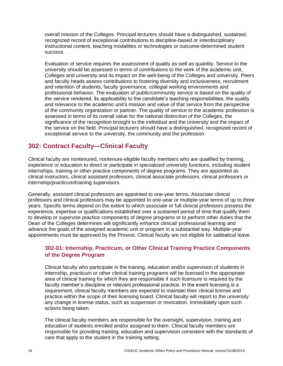overall mission of the Colleges. Principal lecturers should have a distinguished, sustained, recognized record of exceptional contributions to discipline-based or interdisciplinary instructional content, teaching modalities or technologies or outcome-determined student success.

Evaluation of service requires the assessment of quality as well as quantity. Service to the university should be assessed in terms of contributions to the work of the academic unit, Colleges and university and its impact on the well-being of the Colleges and university. Peers and faculty heads assess contributions to fostering diversity and inclusiveness, recruitment and retention of students, faculty governance, collegial working environments and professional behavior. The evaluation of public/community service is based on the quality of the service rendered, its applicability to the candidate's teaching responsibilities, the quality and relevance to the academic unit's mission and value of that service from the perspective of the community organization or partner. The quality of service to the academic profession is assessed in terms of its overall value for the national distinction of the Colleges, the significance of the recognition brought to the individual and the university and the impact of the service on the field. Principal lecturers should have a distinguished, recognized record of exceptional service to the university, the community and the profession.

# **302: Contract Faculty—Clinical Faculty**

Clinical faculty are nontenured, nontenure-eligible faculty members who are qualified by training, experience or education to direct or participate in specialized university functions, including student internships, training or other practice components of degree programs. They are appointed as clinical instructors, clinical assistant professors, clinical associate professors, clinical professors or internship/practicum/training supervisors.

Generally, assistant clinical professors are appointed to one-year terms. Associate clinical professors and clinical professors may be appointed to one-year or multiple-year terms of up to three years. Specific terms depend on the extent to which associate or full clinical professors possess the experience, expertise or qualifications established over a sustained period of time that qualify them to develop or supervise practice components of degree programs or to perform other duties that the Dean of the Colleges determines will significantly enhance clinical/ professional learning and advance the goals of the assigned academic unit or program in a substantial way. Multiple-year appointments must be approved by the Provost. Clinical faculty are not eligible for sabbatical leave.

### **302-01: Internship, Practicum, or Other Clinical Training Practice Components of the Degree Program**

Clinical faculty who participate in the training, education and/or supervision of students in internship, practicum or other clinical training programs will be licensed in the appropriate area of clinical training for which they are responsible if such licensure is required by the faculty member's discipline or relevant professional practice. In the event licensing is a requirement, clinical faculty members are expected to maintain their clinical license and practice within the scope of their licensing board. Clinical faculty will report to the university any change in license status, such as suspension or revocation, immediately upon such actions being taken.

The clinical faculty members are responsible for the oversight, supervision, training and education of students enrolled and/or assigned to them. Clinical faculty members are responsible for providing training, education and supervision consistent with the standards of care that apply to the student in the training setting.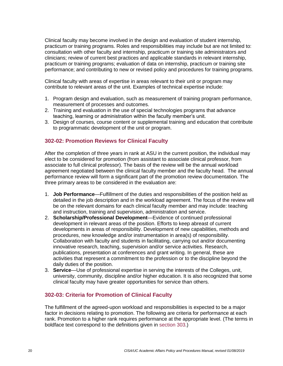Clinical faculty may become involved in the design and evaluation of student internship, practicum or training programs. Roles and responsibilities may include but are not limited to: consultation with other faculty and internship, practicum or training site administrators and clinicians; review of current best practices and applicable standards in relevant internship, practicum or training programs; evaluation of data on internship, practicum or training site performance; and contributing to new or revised policy and procedures for training programs.

Clinical faculty with areas of expertise in areas relevant to their unit or program may contribute to relevant areas of the unit. Examples of technical expertise include:

- 1. Program design and evaluation, such as measurement of training program performance, measurement of processes and outcomes.
- 2. Training and evaluation in the use of special technologies programs that advance teaching, learning or administration within the faculty member's unit.
- 3. Design of courses, course content or supplemental training and education that contribute to programmatic development of the unit or program.

### **302-02: Promotion Reviews for Clinical Faculty**

After the completion of three years in rank at ASU in the current position, the individual may elect to be considered for promotion (from assistant to associate clinical professor, from associate to full clinical professor). The basis of the review will be the annual workload agreement negotiated between the clinical faculty member and the faculty head. The annual performance review will form a significant part of the promotion review documentation. The three primary areas to be considered in the evaluation are:

- 1. **Job Performance**—Fulfillment of the duties and responsibilities of the position held as detailed in the job description and in the workload agreement. The focus of the review will be on the relevant domains for each clinical faculty member and may include: teaching and instruction, training and supervision, administration and service.
- 2. **Scholarship/Professional Development**—Evidence of continued professional development in relevant areas of the position. Efforts to keep abreast of current developments in areas of responsibility. Development of new capabilities, methods and procedures, new knowledge and/or instrumentation in area(s) of responsibility. Collaboration with faculty and students in facilitating, carrying out and/or documenting innovative research, teaching, supervision and/or service activities. Research, publications, presentation at conferences and grant writing. In general, these are activities that represent a commitment to the profession or to the discipline beyond the daily duties of the position.
- 3. **Service**—Use of professional expertise in serving the interests of the Colleges, unit, university, community, discipline and/or higher education. It is also recognized that some clinical faculty may have greater opportunities for service than others.

### **302-03: Criteria for Promotion of Clinical Faculty**

The fulfillment of the agreed-upon workload and responsibilities is expected to be a major factor in decisions relating to promotion. The following are criteria for performance at each rank. Promotion to a higher rank requires performance at the appropriate level. (The terms in boldface text correspond to the definitions given in [section 303.](#page-20-0))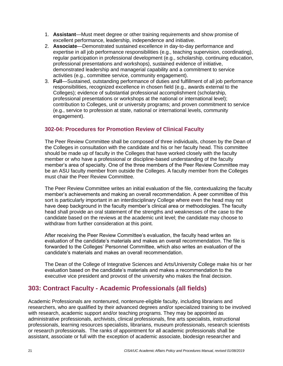- 1. **Assistant**—Must meet degree or other training requirements and show promise of excellent performance, leadership, independence and initiative.
- 2. **Associate**—Demonstrated sustained excellence in day-to-day performance and expertise in all job performance responsibilities (e.g., teaching supervision, coordinating), regular participation in professional development (e.g., scholarship, continuing education, professional presentations and workshops), sustained evidence of initiative, demonstrated leadership and managerial capability and a commitment to service activities (e.g., committee service, community engagement).
- 3. **Full**—Sustained, outstanding performance of duties and fulfillment of all job performance responsibilities, recognized excellence in chosen field (e.g., awards external to the Colleges); evidence of substantial professional accomplishment (scholarship, professional presentations or workshops at the national or international level); contribution to Colleges, unit or university programs; and proven commitment to service (e.g., service to profession at state, national or international levels, community engagement).

### **302-04: Procedures for Promotion Review of Clinical Faculty**

The Peer Review Committee shall be composed of three individuals, chosen by the Dean of the Colleges in consultation with the candidate and his or her faculty head. This committee should be made up of faculty in the Colleges that have worked closely with the faculty member or who have a professional or discipline-based understanding of the faculty member's area of specialty. One of the three members of the Peer Review Committee may be an ASU faculty member from outside the Colleges. A faculty member from the Colleges must chair the Peer Review Committee.

The Peer Review Committee writes an initial evaluation of the file, contextualizing the faculty member's achievements and making an overall recommendation. A peer committee of this sort is particularly important in an interdisciplinary College where even the head may not have deep background in the faculty member's clinical area or methodologies. The faculty head shall provide an oral statement of the strengths and weaknesses of the case to the candidate based on the reviews at the academic unit level; the candidate may choose to withdraw from further consideration at this point.

After receiving the Peer Review Committee's evaluation, the faculty head writes an evaluation of the candidate's materials and makes an overall recommendation. The file is forwarded to the Colleges' Personnel Committee, which also writes an evaluation of the candidate's materials and makes an overall recommendation.

The Dean of the College of Integrative Sciences and Arts/University College make his or her evaluation based on the candidate's materials and makes a recommendation to the executive vice president and provost of the university who makes the final decision.

# <span id="page-20-0"></span>**303: Contract Faculty - Academic Professionals (all fields)**

Academic Professionals are nontenured, nontenure-eligible faculty, including librarians and researchers, who are qualified by their advanced degrees and/or specialized training to be involved with research, academic support and/or teaching programs. They may be appointed as administrative professionals, archivists, clinical professionals, fine arts specialists, instructional professionals, learning resources specialists, librarians, museum professionals, research scientists or research professionals. The ranks of appointment for all academic professionals shall be assistant, associate or full with the exception of academic associate, biodesign researcher and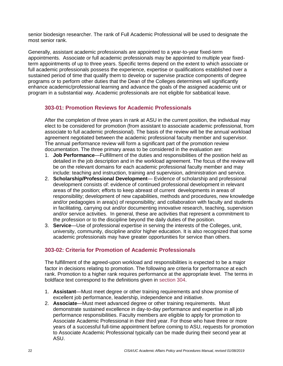senior biodesign researcher. The rank of Full Academic Professional will be used to designate the most senior rank.

Generally, assistant academic professionals are appointed to a year-to-year fixed-term appointments. Associate or full academic professionals may be appointed to multiple year fixedterm appointments of up to three years. Specific terms depend on the extent to which associate or full academic professionals possess the experience, expertise or qualifications established over a sustained period of time that qualify them to develop or supervise practice components of degree programs or to perform other duties that the Dean of the Colleges determines will significantly enhance academic/professional learning and advance the goals of the assigned academic unit or program in a substantial way. Academic professionals are not eligible for sabbatical leave.

### **303-01: Promotion Reviews for Academic Professionals**

After the completion of three years in rank at ASU in the current position, the individual may elect to be considered for promotion (from assistant to associate academic professional, from associate to full academic professional). The basis of the review will be the annual workload agreement negotiated between the academic professional faculty member and supervisor. The annual performance review will form a significant part of the promotion review documentation. The three primary areas to be considered in the evaluation are:

- 1. **Job Performance**—Fulfillment of the duties and responsibilities of the position held as detailed in the job description and in the workload agreement. The focus of the review will be on the relevant domains for each academic professional faculty member and may include: teaching and instruction, training and supervision, administration and service.
- 2. **Scholarship/Professional Development** Evidence of scholarship and professional development consists of: evidence of continued professional development in relevant areas of the position; efforts to keep abreast of current developments in areas of responsibility; development of new capabilities, methods and procedures, new knowledge and/or pedagogies in area(s) of responsibility; and collaboration with faculty and students in facilitating, carrying out and/or documenting innovative research, teaching, supervision and/or service activities. In general, these are activities that represent a commitment to the profession or to the discipline beyond the daily duties of the position.
- 3. **Service**—Use of professional expertise in serving the interests of the Colleges, unit, university, community, discipline and/or higher education. It is also recognized that some academic professionals may have greater opportunities for service than others.

### **303-02: Criteria for Promotion of Academic Professionals**

The fulfillment of the agreed-upon workload and responsibilities is expected to be a major factor in decisions relating to promotion. The following are criteria for performance at each rank. Promotion to a higher rank requires performance at the appropriate level. The terms in boldface text correspond to the definitions given in [section 304.](#page-22-0)

- 1. **Assistant**—Must meet degree or other training requirements and show promise of excellent job performance, leadership, independence and initiative.
- 2. **Associate**—Must meet advanced degree or other training requirements. Must demonstrate sustained excellence in day-to-day performance and expertise in all job performance responsibilities. Faculty members are eligible to apply for promotion to Associate Academic Professional in their third year. For those who have three or more years of a successful full-time appointment before coming to ASU, requests for promotion to Associate Academic Professional typically can be made during their second year at ASU.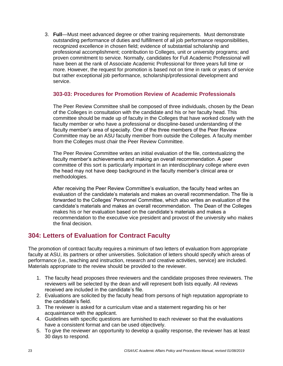3. **Full**—Must meet advanced degree or other training requirements. Must demonstrate outstanding performance of duties and fulfillment of all job performance responsibilities, recognized excellence in chosen field; evidence of substantial scholarship and professional accomplishment; contribution to Colleges, unit or university programs; and proven commitment to service. Normally, candidates for Full Academic Professional will have been at the rank of Associate Academic Professional for three years full time or more. However, the request for promotion is based not on time in rank or years of service but rather exceptional job performance, scholarship/professional development and service.

### **303-03: Procedures for Promotion Review of Academic Professionals**

The Peer Review Committee shall be composed of three individuals, chosen by the Dean of the Colleges in consultation with the candidate and his or her faculty head. This committee should be made up of faculty in the Colleges that have worked closely with the faculty member or who have a professional or discipline-based understanding of the faculty member's area of specialty. One of the three members of the Peer Review Committee may be an ASU faculty member from outside the Colleges. A faculty member from the Colleges must chair the Peer Review Committee.

The Peer Review Committee writes an initial evaluation of the file, contextualizing the faculty member's achievements and making an overall recommendation. A peer committee of this sort is particularly important in an interdisciplinary college where even the head may not have deep background in the faculty member's clinical area or methodologies.

After receiving the Peer Review Committee's evaluation, the faculty head writes an evaluation of the candidate's materials and makes an overall recommendation. The file is forwarded to the Colleges' Personnel Committee, which also writes an evaluation of the candidate's materials and makes an overall recommendation. The Dean of the Colleges makes his or her evaluation based on the candidate's materials and makes a recommendation to the executive vice president and provost of the university who makes the final decision.

# <span id="page-22-0"></span>**304: Letters of Evaluation for Contract Faculty**

The promotion of contract faculty requires a minimum of two letters of evaluation from appropriate faculty at ASU, its partners or other universities. Solicitation of letters should specify which areas of performance (i.e., teaching and instruction, research and creative activities, service) are included. Materials appropriate to the review should be provided to the reviewer.

- 1. The faculty head proposes three reviewers and the candidate proposes three reviewers. The reviewers will be selected by the dean and will represent both lists equally. All reviews received are included in the candidate's file.
- 2. Evaluations are solicited by the faculty head from persons of high reputation appropriate to the candidate's field.
- 3. The reviewer is asked for a curriculum vitae and a statement regarding his or her acquaintance with the applicant.
- 4. Guidelines with specific questions are furnished to each reviewer so that the evaluations have a consistent format and can be used objectively.
- 5. To give the reviewer an opportunity to develop a quality response, the reviewer has at least 30 days to respond.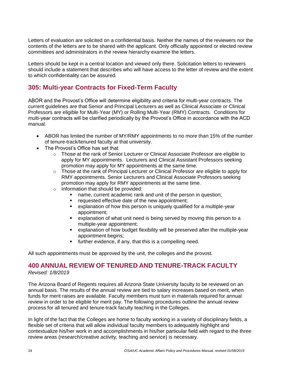Letters of evaluation are solicited on a confidential basis. Neither the names of the reviewers nor the contents of the letters are to be shared with the applicant. Only officially appointed or elected review committees and administrators in the review hierarchy examine the letters.

Letters should be kept in a central location and viewed only there. Solicitation letters to reviewers should include a statement that describes who will have access to the letter of review and the extent to which confidentiality can be assured.

# **305: Multi-year Contracts for Fixed-Term Faculty**

ABOR and the Provost's Office will determine eligibility and criteria for multi-year contracts. The current guidelines are that Senior and Principal Lecturers as well as Clinical Associate or Clinical Professors are eligible for Multi-Year (MY) or Rolling Multi-Year (RMY) Contracts. Conditions for multi-year contracts will be clarified periodically by the Provost's Office in accordance with the ACD manual.

- ABOR has limited the number of MY/RMY appointments to no more than 15% of the number of tenure-track/tenured faculty at that university.
- The Provost's Office has set that
	- $\circ$  Those at the rank of Senior Lecturer or Clinical Associate Professor are eligible to apply for MY appointments. Lecturers and Clinical Assistant Professors seeking promotion may apply for MY appointments at the same time.
	- o Those at the rank of Principal Lecturer or Clinical Professor are eligible to apply for RMY appointments. Senior Lecturers and Clinical Associate Professors seeking promotion may apply for RMY appointments at the same time.
	- o Information that should be provided:
		- name, current academic rank and unit of the person in question;
		- requested effective date of the new appointment;
		- explanation of how this person is uniquely qualified for a multiple-year appointment;
		- explanation of what unit need is being served by moving this person to a multiple-year appointment;
		- explanation of how budget flexibility will be preserved after the multiple-year appointment begins;
		- further evidence, if any, that this is a compelling need.

All such appointments must be approved by the unit, the colleges and the provost.

# **400 ANNUAL REVIEW OF TENURED AND TENURE-TRACK FACULTY**

*Revised: 1/8/2019*

The Arizona Board of Regents requires all Arizona State University faculty to be reviewed on an annual basis. The results of the annual review are tied to salary increases based on merit, when funds for merit raises are available. Faculty members must turn in materials required for annual review in order to be eligible for merit pay. The following procedures outline the annual review process for all tenured and tenure-track faculty teaching in the Colleges.

In light of the fact that the Colleges are home to faculty working in a variety of disciplinary fields, a flexible set of criteria that will allow individual faculty members to adequately highlight and contextualize his/her work in and accomplishments in his/her particular field with regard to the three review areas (research/creative activity, teaching and service) is necessary.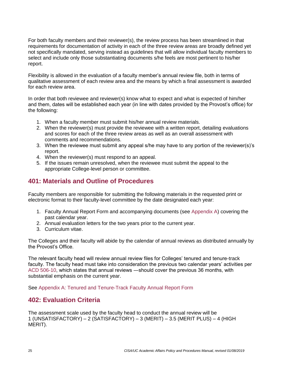For both faculty members and their reviewer(s), the review process has been streamlined in that requirements for documentation of activity in each of the three review areas are broadly defined yet not specifically mandated, serving instead as guidelines that will allow individual faculty members to select and include only those substantiating documents s/he feels are most pertinent to his/her report.

Flexibility is allowed in the evaluation of a faculty member's annual review file, both in terms of qualitative assessment of each review area and the means by which a final assessment is awarded for each review area.

In order that both reviewee and reviewer(s) know what to expect and what is expected of him/her and them, dates will be established each year (in line with dates provided by the Provost's office) for the following:

- 1. When a faculty member must submit his/her annual review materials.
- 2. When the reviewer(s) must provide the reviewee with a written report, detailing evaluations and scores for each of the three review areas as well as an overall assessment with comments and recommendations.
- 3. When the reviewee must submit any appeal s/he may have to any portion of the reviewer(s)'s report.
- 4. When the reviewer(s) must respond to an appeal.
- 5. If the issues remain unresolved, when the reviewee must submit the appeal to the appropriate College-level person or committee.

# **401: Materials and Outline of Procedures**

Faculty members are responsible for submitting the following materials in the requested print or electronic format to their faculty-level committee by the date designated each year:

- 1. Faculty Annual Report Form and accompanying documents (see [Appendix A\)](#page-33-0) covering the past calendar year.
- 2. Annual evaluation letters for the two years prior to the current year.
- 3. Curriculum vitae.

The Colleges and their faculty will abide by the calendar of annual reviews as distributed annually by the Provost's Office.

The relevant faculty head will review annual review files for Colleges' tenured and tenure-track faculty. The faculty head must take into consideration the previous two calendar years' activities per [ACD 506-10,](https://www.asu.edu/aad/manuals/acd/acd506-10.html) which states that annual reviews ―should cover the previous 36 months, with substantial emphasis on the current year.

See [Appendix A: Tenured and Tenure-Track Faculty Annual Report Form](#page-33-0)

# **402: Evaluation Criteria**

The assessment scale used by the faculty head to conduct the annual review will be 1 (UNSATISFACTORY) – 2 (SATISFACTORY) – 3 (MERIT) – 3.5 (MERIT PLUS) – 4 (HIGH MERIT).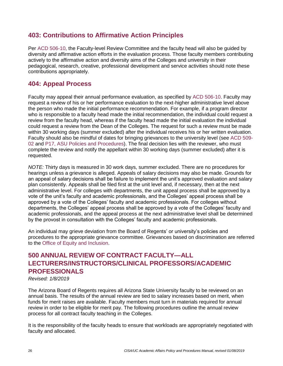# **403: Contributions to Affirmative Action Principles**

Per [ACD 506-10,](https://www.asu.edu/aad/manuals/acd/acd506-10.html) the Faculty-level Review Committee and the faculty head will also be guided by diversity and affirmative action efforts in the evaluation process. Those faculty members contributing actively to the affirmative action and diversity aims of the Colleges and university in their pedagogical, research, creative, professional development and service activities should note these contributions appropriately.

# **404: Appeal Process**

Faculty may appeal their annual performance evaluation, as specified by [ACD 506-10.](https://www.asu.edu/aad/manuals/acd/acd506-10.html) Faculty may request a review of his or her performance evaluation to the next-higher administrative level above the person who made the initial performance recommendation. For example, if a program director who is responsible to a faculty head made the initial recommendation, the individual could request a review from the faculty head, whereas if the faculty head made the initial evaluation the individual could request a review from the Dean of the Colleges. The request for such a review must be made within 30 working days (summer excluded) after the individual receives his or her written evaluation. Faculty should also be mindful of dates for bringing grievances to the university level (see [ACD 509-](https://www.asu.edu/aad/manuals/acd/acd509-02.html) [02](https://www.asu.edu/aad/manuals/acd/acd509-02.html) and P17, [ASU Policies and Procedures\)](https://provost.asu.edu/policies/procedures/p17). The final decision lies with the reviewer, who must complete the review and notify the appellant within 30 working days (summer excluded) after it is requested.

*NOTE:* Thirty days is measured in 30 work days, summer excluded. There are no procedures for hearings unless a grievance is alleged. Appeals of salary decisions may also be made. Grounds for an appeal of salary decisions shall be failure to implement the unit's approved evaluation and salary plan consistently. Appeals shall be filed first at the unit level and, if necessary, then at the next administrative level. For colleges with departments, the unit appeal process shall be approved by a vote of the unit's faculty and academic professionals, and the Colleges' appeal process shall be approved by a vote of the Colleges' faculty and academic professionals. For colleges without departments, the Colleges' appeal process shall be approved by a vote of the Colleges' faculty and academic professionals, and the appeal process at the next administrative level shall be determined by the provost in consultation with the Colleges' faculty and academic professionals.

An individual may grieve deviation from the Board of Regents' or university's policies and procedures to the appropriate grievance committee. Grievances based on discrimination are referred to the Office [of Equity and Inclusion.](https://cfo.asu.edu/equity-and-inclusion)

# **500 ANNUAL REVIEW OF CONTRACT FACULTY—ALL LECTURERS/INSTRUCTORS/CLINICAL PROFESSORS/ACADEMIC PROFESSIONALS**

*Revised: 1/8/2019*

The Arizona Board of Regents requires all Arizona State University faculty to be reviewed on an annual basis. The results of the annual review are tied to salary increases based on merit, when funds for merit raises are available. Faculty members must turn in materials required for annual review in order to be eligible for merit pay. The following procedures outline the annual review process for all contract faculty teaching in the Colleges.

It is the responsibility of the faculty heads to ensure that workloads are appropriately negotiated with faculty and allocated.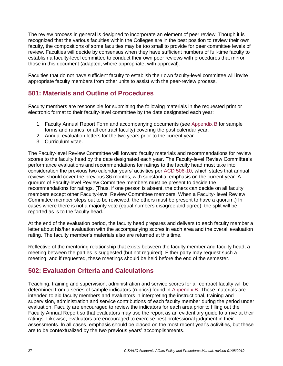The review process in general is designed to incorporate an element of peer review. Though it is recognized that the various faculties within the Colleges are in the best position to review their own faculty, the compositions of some faculties may be too small to provide for peer committee levels of review. Faculties will decide by consensus when they have sufficient numbers of full-time faculty to establish a faculty-level committee to conduct their own peer reviews with procedures that mirror those in this document (adapted, where appropriate, with approval).

Faculties that do not have sufficient faculty to establish their own faculty-level committee will invite appropriate faculty members from other units to assist with the peer-review process.

# **501: Materials and Outline of Procedures**

Faculty members are responsible for submitting the following materials in the requested print or electronic format to their faculty-level committee by the date designated each year:

- 1. Faculty Annual Report Form and accompanying documents (see [Appendix B](#page-37-0) for sample forms and rubrics for all contract faculty) covering the past calendar year.
- 2. Annual evaluation letters for the two years prior to the current year.
- 3. Curriculum vitae.

The Faculty-level Review Committee will forward faculty materials and recommendations for review scores to the faculty head by the date designated each year. The Faculty-level Review Committee's performance evaluations and recommendations for ratings to the faculty head must take into consideration the previous two calendar years' activities per [ACD 506-10,](https://www.asu.edu/aad/manuals/acd/acd506-10.html) which states that annual reviews should cover the previous 36 months, with substantial emphasis on the current year. A quorum of Faculty-level Review Committee members must be present to decide the recommendations for ratings. (Thus, if one person is absent, the others can decide on all faculty members except other Faculty-level Review Committee members. When a Faculty- level Review Committee member steps out to be reviewed, the others must be present to have a quorum.) In cases where there is not a majority vote (equal numbers disagree and agree), the split will be reported as is to the faculty head.

At the end of the evaluation period, the faculty head prepares and delivers to each faculty member a letter about his/her evaluation with the accompanying scores in each area and the overall evaluation rating. The faculty member's materials also are returned at this time.

Reflective of the mentoring relationship that exists between the faculty member and faculty head, a meeting between the parties is suggested (but not required). Either party may request such a meeting, and if requested, these meetings should be held before the end of the semester.

# **502: Evaluation Criteria and Calculations**

Teaching, training and supervision, administration and service scores for all contract faculty will be determined from a series of sample indicators (rubrics) found in [Appendix B.](#page-37-0) These materials are intended to aid faculty members and evaluators in interpreting the instructional, training and supervision, administration and service contributions of each faculty member during the period under evaluation. Faculty are encouraged to review the indicators for each area prior to filling out the Faculty Annual Report so that evaluators may use the report as an evidentiary guide to arrive at their ratings. Likewise, evaluators are encouraged to exercise best professional judgment in their assessments. In all cases, emphasis should be placed on the most recent year's activities, but these are to be contextualized by the two previous years' accomplishments.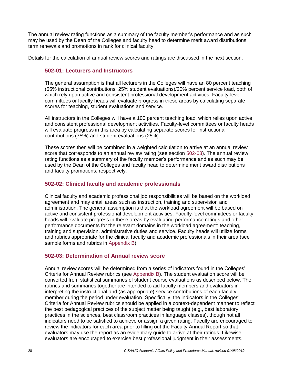The annual review rating functions as a summary of the faculty member's performance and as such may be used by the Dean of the Colleges and faculty head to determine merit award distributions, term renewals and promotions in rank for clinical faculty.

Details for the calculation of annual review scores and ratings are discussed in the next section.

#### **502-01: Lecturers and Instructors**

The general assumption is that all lecturers in the Colleges will have an 80 percent teaching (55% instructional contributions; 25% student evaluations)/20% percent service load, both of which rely upon active and consistent professional development activities. Faculty-level committees or faculty heads will evaluate progress in these areas by calculating separate scores for teaching, student evaluations and service.

All instructors in the Colleges will have a 100 percent teaching load, which relies upon active and consistent professional development activities. Faculty-level committees or faculty heads will evaluate progress in this area by calculating separate scores for instructional contributions (75%) and student evaluations (25%).

These scores then will be combined in a weighted calculation to arrive at an annual review score that corresponds to an annual review rating (see section [502-03\)](#page-27-0). The annual review rating functions as a summary of the faculty member's performance and as such may be used by the Dean of the Colleges and faculty head to determine merit award distributions and faculty promotions, respectively.

### **502-02: Clinical faculty and academic professionals**

Clinical faculty and academic professional job responsibilities will be based on the workload agreement and may entail areas such as instruction, training and supervision and administration. The general assumption is that the workload agreement will be based on active and consistent professional development activities. Faculty-level committees or faculty heads will evaluate progress in these areas by evaluating performance ratings and other performance documents for the relevant domains in the workload agreement: teaching, training and supervision, administrative duties and service. Faculty heads will utilize forms and rubrics appropriate for the clinical faculty and academic professionals in their area (see sample forms and rubrics in [Appendix B\)](#page-37-0).

#### <span id="page-27-0"></span>**502-03: Determination of Annual review score**

Annual review scores will be determined from a series of indicators found in the Colleges' Criteria for Annual Review rubrics (see [Appendix B\)](#page-37-0). The student evaluation score will be converted from statistical summaries of student course evaluations as described below. The rubrics and summaries together are intended to aid faculty members and evaluators in interpreting the instructional and (as appropriate) service contributions of each faculty member during the period under evaluation. Specifically, the indicators in the Colleges' Criteria for Annual Review rubrics should be applied in a context-dependent manner to reflect the best pedagogical practices of the subject matter being taught (e.g., best laboratory practices in the sciences, best classroom practices in language classes), though not all indicators need to be satisfied to achieve or assign a given rating. Faculty are encouraged to review the indicators for each area prior to filling out the Faculty Annual Report so that evaluators may use the report as an evidentiary guide to arrive at their ratings. Likewise, evaluators are encouraged to exercise best professional judgment in their assessments.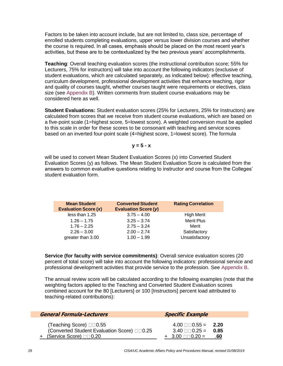Factors to be taken into account include, but are not limited to, class size, percentage of enrolled students completing evaluations, upper versus lower division courses and whether the course is required. In all cases, emphasis should be placed on the most recent year's activities, but these are to be contextualized by the two previous years' accomplishments.

**Teaching**: Overall teaching evaluation scores (the instructional contribution score; 55% for Lecturers, 75% for instructors) will take into account the following indicators (exclusive of student evaluations, which are calculated separately, as indicated below): effective teaching, curriculum development, professional development activities that enhance teaching, rigor and quality of courses taught, whether courses taught were requirements or electives, class size (see [Appendix B\)](#page-37-0). Written comments from student course evaluations may be considered here as well.

**Student Evaluations:** Student evaluation scores (25% for Lecturers, 25% for Instructors) are calculated from scores that we receive from student course evaluations, which are based on a five-point scale (1=highest score, 5=lowest score). A weighted conversion must be applied to this scale in order for these scores to be consonant with teaching and service scores based on an inverted four-point scale (4=highest score, 1=lowest score). The formula

$$
y = 5 - x
$$

will be used to convert Mean Student Evaluation Scores (x) into Converted Student Evaluation Scores (y) as follows. The Mean Student Evaluation Score is calculated from the answers to common evaluative questions relating to instructor and course from the Colleges' student evaluation form.

| <b>Mean Student</b><br><b>Evaluation Score (x)</b> | <b>Converted Student</b><br>Evaluation Score (y) | <b>Rating Correlation</b> |
|----------------------------------------------------|--------------------------------------------------|---------------------------|
| less than 1.25                                     | $3.75 - 4.00$                                    | <b>High Merit</b>         |
| $1.26 - 1.75$                                      | $3.25 - 3.74$                                    | <b>Merit Plus</b>         |
| $1.76 - 2.25$                                      | $2.75 - 3.24$                                    | Merit                     |
| $2.26 - 3.00$                                      | $2.00 - 2.74$                                    | Satisfactory              |
| greater than 3.00                                  | $1.00 - 1.99$                                    | Unsatisfactory            |

**Service (for faculty with service commitments)**: Overall service evaluation scores (20 percent of total score) will take into account the following indicators: professional service and professional development activities that provide service to the profession. See [Appendix B.](#page-37-0)

The annual review score will be calculated according to the following examples (note that the weighting factors applied to the Teaching and Converted Student Evaluation scores combined account for the 80 [Lecturers] or 100 [Instructors] percent load attributed to teaching-related contributions):

| <b>General Formula-Lecturers</b>                                                                                         | <b>Specific Example</b>                                                                                    |  |
|--------------------------------------------------------------------------------------------------------------------------|------------------------------------------------------------------------------------------------------------|--|
| (Teaching Score) $\square \square 0.55$<br>(Converted Student Evaluation Score) 00.25<br><u>+ (Service Score)</u> □□0.20 | $4.00 \square \square 0.55 = 2.20$<br>$3.40 \square \square 0.25 = 0.85$<br>$+ 3.00 \square 0.20 =$<br>.60 |  |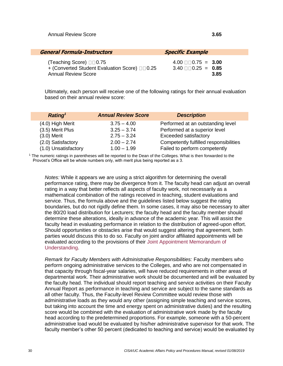| <b>General Formula-Instructors</b>           | <b>Specific Example</b>            |
|----------------------------------------------|------------------------------------|
| (Teaching Score) $\square$ 0.75              | $4.00 \square \square 0.75 = 3.00$ |
| + (Converted Student Evaluation Score) 00.25 | $3.40 \square \square 0.25 = 0.85$ |
| <b>Annual Review Score</b>                   | 3.85                               |

Ultimately, each person will receive one of the following ratings for their annual evaluation based on their annual review score:

| Rating <sup>1</sup>  | <b>Annual Review Score</b> | <b>Description</b>                     |
|----------------------|----------------------------|----------------------------------------|
| (4.0) High Merit     | $3.75 - 4.00$              | Performed at an outstanding level      |
| (3.5) Merit Plus     | $3.25 - 3.74$              | Performed at a superior level          |
| $(3.0)$ Merit        | $2.75 - 3.24$              | Exceeded satisfactory                  |
| (2.0) Satisfactory   | $2.00 - 2.74$              | Competently fulfilled responsibilities |
| (1.0) Unsatisfactory | $1.00 - 1.99$              | Failed to perform competently          |

<sup>1</sup> The numeric ratings in parentheses will be reported to the Dean of the Colleges. What is then forwarded to the Provost's Office will be whole numbers only, with merit plus being reported as a 3.

*Notes:* While it appears we are using a strict algorithm for determining the overall performance rating, there may be divergence from it. The faculty head can adjust an overall rating in a way that better reflects all aspects of faculty work, not necessarily as a mathematical combination of the ratings received in teaching, student evaluations and service. Thus, the formula above and the guidelines listed below suggest the rating boundaries, but do not rigidly define them. In some cases, it may also be necessary to alter the 80/20 load distribution for Lecturers; the faculty head and the faculty member should determine these alterations, ideally in advance of the academic year. This will assist the faculty head in evaluating performance in relation to the distribution of agreed-upon effort. Should opportunities or obstacles arise that would suggest altering that agreement, both parties would discuss this to do so. Faculty on joint and/or affiliated appointments will be evaluated according to the provisions of their [Joint Appointment Memorandum of](https://provost.asu.edu/academic-personnel/search)  [Understanding.](https://provost.asu.edu/academic-personnel/search)

*Remark for Faculty Members with Administrative Responsibilities:* Faculty members who perform ongoing administrative services to the Colleges, and who are not compensated in that capacity through fiscal-year salaries, will have reduced requirements in other areas of departmental work. Their administrative work should be documented and will be evaluated by the faculty head. The individual should report teaching and service activities on their Faculty Annual Report as performance in teaching and service are subject to the same standards as all other faculty. Thus, the Faculty-level Review Committee would review those with administrative loads as they would any other (assigning simple teaching and service scores, but taking into account the time and energy spent on administrative duties) and the resulting score would be combined with the evaluation of administrative work made by the faculty head according to the predetermined proportions. For example, someone with a 50-percent administrative load would be evaluated by his/her administrative supervisor for that work. The faculty member's other 50 percent (dedicated to teaching and service) would be evaluated by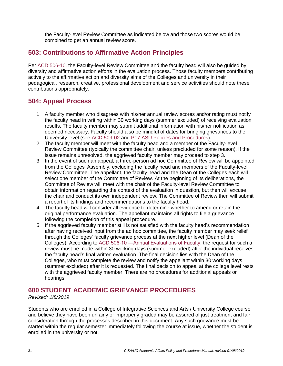the Faculty-level Review Committee as indicated below and those two scores would be combined to get an annual review score.

# **503: Contributions to Affirmative Action Principles**

Per [ACD 506-10,](https://www.asu.edu/aad/manuals/acd/acd506-10.html) the Faculty-level Review Committee and the faculty head will also be guided by diversity and affirmative action efforts in the evaluation process. Those faculty members contributing actively to the affirmative action and diversity aims of the Colleges and university in their pedagogical, research, creative, professional development and service activities should note these contributions appropriately.

# **504: Appeal Process**

- 1. A faculty member who disagrees with his/her annual review scores and/or rating must notify the faculty head in writing within 30 working days (summer excluded) of receiving evaluation results. The faculty member may submit additional information with his/her notification as deemed necessary. Faculty should also be mindful of dates for bringing grievances to the University level (see [ACD 509-02](https://www.asu.edu/aad/manuals/acd/acd509-02.html) and [P17 ASU Policies and Procedures\)](https://provost.asu.edu/policies/procedures/p17).
- 2. The faculty member will meet with the faculty head and a member of the Faculty-level Review Committee (typically the committee chair, unless precluded for some reason). If the issue remains unresolved, the aggrieved faculty member may proceed to step 3.
- 3. In the event of such an appeal, a three-person ad hoc Committee of Review will be appointed from the Colleges' Assembly, excluding the faculty head and members of the Faculty-level Review Committee. The appellant, the faculty head and the Dean of the Colleges each will select one member of the Committee of Review. At the beginning of its deliberations, the Committee of Review will meet with the chair of the Faculty-level Review Committee to obtain information regarding the context of the evaluation in question, but then will excuse the chair and conduct its own independent review. The Committee of Review then will submit a report of its findings and recommendations to the faculty head.
- 4. The faculty head will consider all evidence to determine whether to amend or retain the original performance evaluation. The appellant maintains all rights to file a grievance following the completion of this appeal procedure.
- 5. If the aggrieved faculty member still is not satisfied with the faculty head's recommendation after having received input from the ad hoc committee, the faculty member may seek relief through the Colleges' faculty grievance process at the next higher level (Dean of the Colleges). According to [ACD 506-10 ―Annual Evaluations of Faculty,](https://www.asu.edu/aad/manuals/acd/acd506-10.html) the request for such a review must be made within 30 working days (summer excluded) after the individual receives the faculty head's final written evaluation. The final decision lies with the Dean of the Colleges, who must complete the review and notify the appellant within 30 working days (summer excluded) after it is requested. The final decision to appeal at the college level rests with the aggrieved faculty member. There are no procedures for additional appeals or hearings.

# <span id="page-30-0"></span>**600 STUDENT ACADEMIC GRIEVANCE PROCEDURES**

#### *Revised: 1/8/2019*

Students who are enrolled in a College of Integrative Sciences and Arts / University College course and believe they have been unfairly or improperly graded may be assured of just treatment and fair consideration through the processes described in this document. Any such grievance must be started within the regular semester immediately following the course at issue, whether the student is enrolled in the university or not.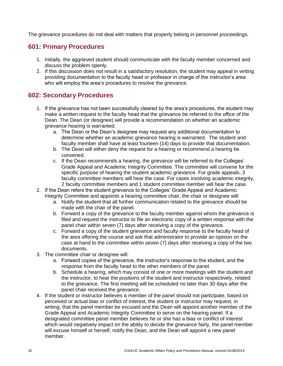The grievance procedures do not deal with matters that properly belong in personnel proceedings.

# **601: Primary Procedures**

- 1. Initially, the aggrieved student should communicate with the faculty member concerned and discuss the problem openly.
- 2. If this discussion does not result in a satisfactory resolution, the student may appeal in writing providing documentation to the faculty head or professor in charge of the instructor's area who will employ the area's procedures to resolve the grievance.

# <span id="page-31-0"></span>**602: Secondary Procedures**

- 1. If the grievance has not been successfully cleared by the area's procedures, the student may make a written request to the faculty head that the grievance be referred to the office of the Dean. The Dean (or designee) will provide a recommendation on whether an academic grievance hearing is warranted.
	- a. The Dean or the Dean's designee may request any additional documentation to determine whether an academic grievance hearing is warranted. The student and faculty member shall have at least fourteen (14) days to provide that documentation.
	- b. The Dean will either deny the request for a hearing or recommend a hearing be convened.
	- c. If the Dean recommends a hearing, the grievance will be referred to the Colleges' Grade Appeal and Academic Integrity Committee. The committee will convene for the specific purpose of hearing the student academic grievance. For grade appeals, 3 faculty committee members will hear the case. For cases involving academic integrity, 2 faculty committee members and 1 student committee member will hear the case.
- 2. If the Dean refers the student grievance to the Colleges' Grade Appeal and Academic Integrity Committee and appoints a hearing committee chair, the chair or designee will:
	- a. Notify the student that all further communication related to the grievance should be made with the chair of the panel.
	- b. Forward a copy of the grievance to the faculty member against whom the grievance is filed and request the instructor to file an electronic copy of a written response with the panel chair within seven (7) days after receiving a copy of the grievance.
	- c. Forward a copy of the student grievance and faculty response to the faculty head of the area offering the course and ask that administrator to provide an opinion on the case at hand to the committee within seven (7) days after receiving a copy of the two documents.
- 3. The committee chair or designee will:
	- a. Forward copies of the grievance, the instructor's response to the student, and the response from the faculty head to the other members of the panel.
	- b. Schedule a hearing, which may consist of one or more meetings with the student and the instructor, to hear the positions of the student and instructor respectively, related to the grievance. The first meeting will be scheduled no later than 30 days after the panel chair received the grievance.
- 4. If the student or instructor believes a member of the panel should not participate, based on perceived or actual bias or conflict of interest, the student or instructor may request, in writing, that the panel member be excused and the Dean will appoint another member of the Grade Appeal and Academic Integrity Committee to serve on the hearing panel. If a designated committee panel member believes he or she has a bias or conflict of interest which would negatively impact on the ability to decide the grievance fairly, the panel member will excuse himself or herself, notify the Dean, and the Dean will appoint a new panel member.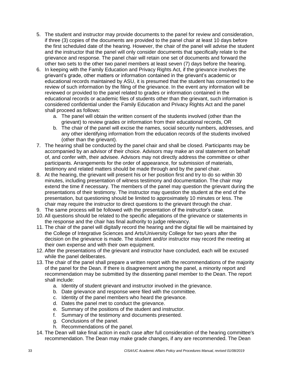- 5. The student and instructor may provide documents to the panel for review and consideration, if three (3) copies of the documents are provided to the panel chair at least 10 days before the first scheduled date of the hearing. However, the chair of the panel will advise the student and the instructor that the panel will only consider documents that specifically relate to the grievance and response. The panel chair will retain one set of documents and forward the other two sets to the other two panel members at least seven (7) days before the hearing.
- 6. In keeping with the Family Education and Privacy Rights Act, if the grievance involves the grievant's grade, other matters or information contained in the grievant's academic or educational records maintained by ASU, it is presumed that the student has consented to the review of such information by the filing of the grievance. In the event any information will be reviewed or provided to the panel related to grades or information contained in the educational records or academic files of students other than the grievant, such information is considered confidential under the Family Education and Privacy Rights Act and the panel shall proceed as follows:
	- a. The panel will obtain the written consent of the students involved (other than the grievant) to review grades or information from their educational records, OR
	- b. The chair of the panel will excise the names, social security numbers, addresses, and any other identifying information from the education records of the students involved (other than the grievant).
- 7. The hearing shall be conducted by the panel chair and shall be closed. Participants may be accompanied by an advisor of their choice. Advisors may make an oral statement on behalf of, and confer with, their advisee. Advisors may not directly address the committee or other participants. Arrangements for the order of appearance, for submission of materials, testimony and related matters should be made through and by the panel chair.
- 8. At the hearing, the grievant will present his or her position first and try to do so within 30 minutes, including presentation of witness testimony and documentation. The chair may extend the time if necessary. The members of the panel may question the grievant during the presentations of their testimony. The instructor may question the student at the end of the presentation, but questioning should be limited to approximately 10 minutes or less. The chair may require the instructor to direct questions to the grievant through the chair.
- 9. The same process will be followed with the presentation of the instructor's case.
- 10. All questions should be related to the specific allegations of the grievance or statements in the response and the chair has final authority to judge relevancy.
- 11. The chair of the panel will digitally record the hearing and the digital file will be maintained by the College of Integrative Sciences and Arts/University College for two years after the decision on the grievance is made. The student and/or instructor may record the meeting at their own expense and with their own equipment.
- 12. After the presentations of the grievant and instructor have concluded, each will be excused while the panel deliberates.
- 13. The chair of the panel shall prepare a written report with the recommendations of the majority of the panel for the Dean. If there is disagreement among the panel, a minority report and recommendation may be submitted by the dissenting panel member to the Dean. The report shall include:
	- a. Identity of student grievant and instructor involved in the grievance.
	- b. Date grievance and response were filed with the committee.
	- c. Identity of the panel members who heard the grievance.
	- d. Dates the panel met to conduct the grievance.
	- e. Summary of the positions of the student and instructor.
	- f. Summary of the testimony and documents presented.
	- g. Conclusions of the panel.
	- h. Recommendations of the panel.
- 14. The Dean will take final action in each case after full consideration of the hearing committee's recommendation. The Dean may make grade changes, if any are recommended. The Dean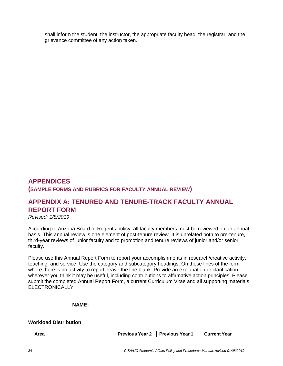shall inform the student, the instructor, the appropriate faculty head, the registrar, and the grievance committee of any action taken.

# **APPENDICES (SAMPLE FORMS AND RUBRICS FOR FACULTY ANNUAL REVIEW)**

# <span id="page-33-0"></span>**APPENDIX A: TENURED AND TENURE-TRACK FACULTY ANNUAL REPORT FORM**

*Revised: 1/8/2019*

According to Arizona Board of Regents policy, all faculty members must be reviewed on an annual basis. This annual review is one element of post-tenure review. It is unrelated both to pre-tenure, third-year reviews of junior faculty and to promotion and tenure reviews of junior and/or senior faculty.

Please use this Annual Report Form to report your accomplishments in research/creative activity, teaching, and service. Use the category and subcategory headings. On those lines of the form where there is no activity to report, leave the line blank. Provide an explanation or clarification wherever you think it may be useful, including contributions to affirmative action principles. Please submit the completed Annual Report Form, a current Curriculum Vitae and all supporting materials ELECTRONICALLY.

**NAME:**  $\blacksquare$ 

#### **Workload Distribution**

| <b>Previous Year 2</b> Previous Year 1<br>Area | <b>Current Year</b> |  |
|------------------------------------------------|---------------------|--|
|------------------------------------------------|---------------------|--|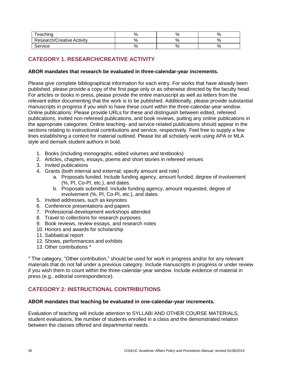| eaching                    |    | o  |    |
|----------------------------|----|----|----|
| Research/Creative Activity |    | ٥  |    |
| Service                    | 7ο | о, | ٥, |

# **CATEGORY 1. RESEARCH/CREATIVE ACTIVITY**

#### **ABOR mandates that research be evaluated in three-calendar-year increments.**

Please give complete bibliographical information for each entry. For works that have already been published, please provide a copy of the first page only or as otherwise directed by the faculty head. For articles or books in press, please provide the entire manuscript as well as letters from the relevant editor documenting that the work is to be published. Additionally, please provide substantial manuscripts in progress if you wish to have these count within the three-calendar-year window. Online publications: Please provide URLs for these and distinguish between edited, refereed publications, invited non-refereed publications, and book reviews, putting any online publications in the appropriate categories. Online teaching- and service-related publications should appear in the sections relating to instructional contributions and service, respectively. Feel free to supply a few lines establishing a context for material outlined. Please list all scholarly work using APA or MLA style and demark student authors in bold.

- 1. Books (including monographs, edited volumes and textbooks)
- 2. Articles, chapters, essays, poems and short stories in refereed venues
- 3. Invited publications
- 4. Grants (both internal and external; specify amount and role)
	- a. Proposals funded. Include funding agency, amount funded, degree of involvement (%, PI, Co-PI, etc.), and dates.
	- b. Proposals submitted. Include funding agency, amount requested, degree of involvement (%, PI, Co-PI, etc.), and dates.
- 5. Invited addresses, such as keynotes
- 6. Conference presentations and papers
- 7. Professional-development workshops attended
- 8. Travel to collections for research purposes
- 9. Book reviews, review essays, and research notes
- 10. Honors and awards for scholarship
- 11. Sabbatical report
- 12. Shows, performances and exhibits
- 13. Other contributions \*

\* The category, "Other contribution," should be used for work in progress and/or for any relevant materials that do not fall under a previous category. Include manuscripts in progress or under review if you wish them to count within the three-calendar-year window. Include evidence of material in press (e.g., editorial correspondence).

### **CATEGORY 2: INSTRUCTIONAL CONTRIBUTIONS**

#### **ABOR mandates that teaching be evaluated in one-calendar-year increments.**

Evaluation of teaching will include attention to SYLLABI AND OTHER COURSE MATERIALS, student evaluations, the number of students enrolled in a class and the demonstrated relation between the classes offered and departmental needs.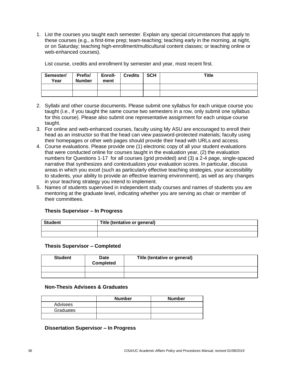1. List the courses you taught each semester. Explain any special circumstances that apply to these courses (e.g., a first-time prep; team-teaching; teaching early in the morning, at night, or on Saturday; teaching high-enrollment/multicultural content classes; or teaching online or web-enhanced courses).

List course, credits and enrollment by semester and year, most recent first.

| Semester/<br>Year | Prefix/<br><b>Number</b> | Enroll-<br>ment | <b>Credits</b> | <b>SCH</b> | Title |
|-------------------|--------------------------|-----------------|----------------|------------|-------|
|                   |                          |                 |                |            |       |
|                   |                          |                 |                |            |       |

- 2. Syllabi and other course documents. Please submit one syllabus for each unique course you taught (i.e., if you taught the same course two semesters in a row, only submit one syllabus for this course). Please also submit one representative assignment for each unique course taught.
- 3. For online and web-enhanced courses, faculty using My ASU are encouraged to enroll their head as an instructor so that the head can view password-protected materials; faculty using their homepages or other web pages should provide their head with URLs and access.
- 4. Course evaluations. Please provide one (1) electronic copy of all your student evaluations that were conducted online for courses taught in the evaluation year, (2) the evaluation numbers for Questions 1-17 for all courses (grid provided) and (3) a 2-4 page, single-spaced narrative that synthesizes and contextualizes your evaluation scores. In particular, discuss areas in which you excel (such as particularly effective teaching strategies, your accessibility to students, your ability to provide an effective learning environment), as well as any changes in your teaching strategy you intend to implement.
- 5. Names of students supervised in independent study courses and names of students you are mentoring at the graduate level, indicating whether you are serving as chair or member of their committees.

#### **Thesis Supervisor – In Progress**

| <b>Student</b> | Title (tentative or general) |  |
|----------------|------------------------------|--|
|                |                              |  |
|                |                              |  |

#### **Thesis Supervisor – Completed**

| <b>Student</b> | Date<br><b>Completed</b> | Title (tentative or general) |
|----------------|--------------------------|------------------------------|
|                |                          |                              |
|                |                          |                              |

#### **Non-Thesis Advisees & Graduates**

|           | <b>Number</b> | <b>Number</b> |
|-----------|---------------|---------------|
| Advisees  |               |               |
| Graduates |               |               |
|           |               |               |

#### **Dissertation Supervisor – In Progress**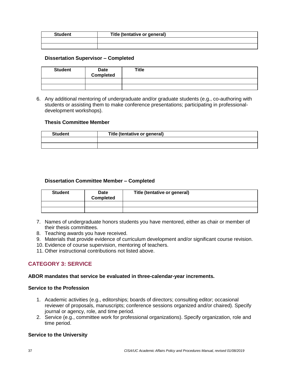| <b>Student</b> | Title (tentative or general) |  |
|----------------|------------------------------|--|
|                |                              |  |
|                |                              |  |

#### **Dissertation Supervisor – Completed**

| <b>Student</b> | Date<br><b>Completed</b> | <b>Title</b> |
|----------------|--------------------------|--------------|
|                |                          |              |
|                |                          |              |

6. Any additional mentoring of undergraduate and/or graduate students (e.g., co-authoring with students or assisting them to make conference presentations; participating in professionaldevelopment workshops).

#### **Thesis Committee Member**

| <b>Student</b> | Title (tentative or general) |
|----------------|------------------------------|
|                |                              |
|                |                              |

#### **Dissertation Committee Member – Completed**

| <b>Student</b> | <b>Date</b><br><b>Completed</b> | Title (tentative or general) |
|----------------|---------------------------------|------------------------------|
|                |                                 |                              |
|                |                                 |                              |

- 7. Names of undergraduate honors students you have mentored, either as chair or member of their thesis committees.
- 8. Teaching awards you have received.
- 9. Materials that provide evidence of curriculum development and/or significant course revision.
- 10. Evidence of course supervision, mentoring of teachers.
- 11. Other instructional contributions not listed above.

### **CATEGORY 3: SERVICE**

#### **ABOR mandates that service be evaluated in three-calendar-year increments.**

#### **Service to the Profession**

- 1. Academic activities (e.g., editorships; boards of directors; consulting editor; occasional reviewer of proposals, manuscripts; conference sessions organized and/or chaired). Specify journal or agency, role, and time period.
- 2. Service (e.g., committee work for professional organizations). Specify organization, role and time period.

#### **Service to the University**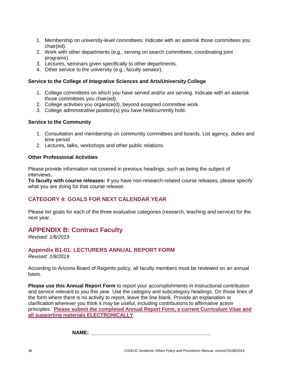- 1. Membership on university-level committees. Indicate with an asterisk those committees you chair(ed).
- 2. Work with other departments (e.g., serving on search committees, coordinating joint programs).
- 3. Lectures, seminars given specifically to other departments.
- 4. Other service to the university (e.g., faculty senator).

#### **Service to the College of Integrative Sciences and Arts/University College**

- 1. College committees on which you have served and/or are serving. Indicate with an asterisk those committees you chair(ed).
- 2. College activities you organize(d), beyond assigned committee work.
- 3. College administrative position(s) you have held/currently hold.

#### **Service to the Community**

- 1. Consultation and membership on community committees and boards. List agency, duties and time period.
- 2. Lectures, talks, workshops and other public relations.

#### **Other Professional Activities**

Please provide information not covered in previous headings, such as being the subject of interviews.

**To faculty with course releases:** If you have non-research-related course releases, please specify what you are doing for that course release.

### **CATEGORY 4: GOALS FOR NEXT CALENDAR YEAR**

Please list goals for each of the three evaluative categories (research, teaching and service) for the next year.

### <span id="page-37-0"></span>**APPENDIX B: Contract Faculty**

*Revised: 1/8/2019*

### **Appendix B1-01: LECTURERS ANNUAL REPORT FORM**

*Revised: 1/8/2019*

According to Arizona Board of Regents policy, all faculty members must be reviewed on an annual basis.

**Please use this Annual Report Form** to report your accomplishments in instructional contribution and service relevant to you this year. Use the category and subcategory headings. On those lines of the form where there is no activity to report, leave the line blank. Provide an explanation or clarification wherever you think it may be useful, including contributions to affirmative action principles. **Please submit the completed Annual Report Form, a current Curriculum Vitae and all supporting materials ELECTRONICALLY**.

**NAME: \_\_\_\_\_\_\_\_\_\_\_\_\_\_\_\_\_\_\_\_\_\_\_\_\_\_\_\_\_\_\_\_\_\_\_\_\_\_\_\_\_\_**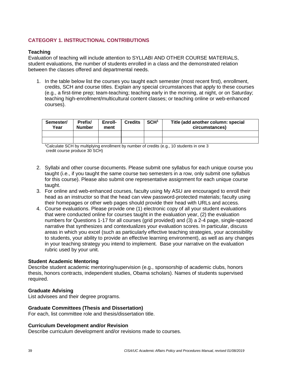### **CATEGORY 1. INSTRUCTIONAL CONTRIBUTIONS**

#### **Teaching**

Evaluation of teaching will include attention to SYLLABI AND OTHER COURSE MATERIALS, student evaluations, the number of students enrolled in a class and the demonstrated relation between the classes offered and departmental needs.

1. In the table below list the courses you taught each semester (most recent first), enrollment, credits, SCH and course titles. Explain any special circumstances that apply to these courses (e.g., a first-time prep; team-teaching; teaching early in the morning, at night, or on Saturday; teaching high-enrollment/multicultural content classes; or teaching online or web-enhanced courses).

| Semester/<br>Year | Prefix/<br><b>Number</b> | Enroll-<br>ment | <b>Credits</b> | SCH <sup>1</sup> | Title (add another column: special<br>circumstances) |
|-------------------|--------------------------|-----------------|----------------|------------------|------------------------------------------------------|
|                   |                          |                 |                |                  |                                                      |
|                   |                          |                 |                |                  |                                                      |

<sup>1</sup>Calculate SCH by multiplying enrollment by number of credits (e.g., 10 students in one 3 credit course produce 30 SCH)

- 2. Syllabi and other course documents. Please submit one syllabus for each unique course you taught (i.e., if you taught the same course two semesters in a row, only submit one syllabus for this course). Please also submit one representative assignment for each unique course taught.
- 3. For online and web-enhanced courses, faculty using My ASU are encouraged to enroll their head as an instructor so that the head can view password-protected materials; faculty using their homepages or other web pages should provide their head with URLs and access.
- 4. Course evaluations. Please provide one (1) electronic copy of all your student evaluations that were conducted online for courses taught in the evaluation year, (2) the evaluation numbers for Questions 1-17 for all courses (grid provided) and (3) a 2-4 page, single-spaced narrative that synthesizes and contextualizes your evaluation scores. In particular, discuss areas in which you excel (such as particularly effective teaching strategies, your accessibility to students, your ability to provide an effective learning environment), as well as any changes in your teaching strategy you intend to implement. Base your narrative on the evaluation rubric used by your unit.

#### **Student Academic Mentoring**

Describe student academic mentoring/supervision (e.g., sponsorship of academic clubs, honors thesis, honors contracts, independent studies, Obama scholars). Names of students supervised required.

#### **Graduate Advising**

List advisees and their degree programs.

#### **Graduate Committees (Thesis and Dissertation)**

For each, list committee role and thesis/dissertation title.

#### **Curriculum Development and/or Revision**

Describe curriculum development and/or revisions made to courses.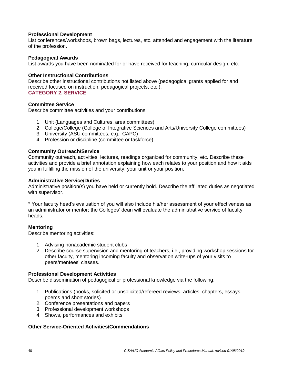#### **Professional Development**

List conferences/workshops, brown bags, lectures, etc. attended and engagement with the literature of the profession.

#### **Pedagogical Awards**

List awards you have been nominated for or have received for teaching, curricular design, etc.

#### **Other Instructional Contributions**

Describe other instructional contributions not listed above (pedagogical grants applied for and received focused on instruction, pedagogical projects, etc.). **CATEGORY 2. SERVICE**

#### **Committee Service**

Describe committee activities and your contributions:

- 1. Unit (Languages and Cultures, area committees)
- 2. College/College (College of Integrative Sciences and Arts/University College committees)
- 3. University (ASU committees, e.g., CAPC)
- 4. Profession or discipline (committee or taskforce)

#### **Community Outreach/Service**

Community outreach, activities, lectures, readings organized for community, etc. Describe these activities and provide a brief annotation explaining how each relates to your position and how it aids you in fulfilling the mission of the university, your unit or your position.

#### **Administrative Service/Duties**

Administrative position(s) you have held or currently hold. Describe the affiliated duties as negotiated with supervisor.

\* Your faculty head's evaluation of you will also include his/her assessment of your effectiveness as an administrator or mentor; the Colleges' dean will evaluate the administrative service of faculty heads.

#### **Mentoring**

Describe mentoring activities:

- 1. Advising nonacademic student clubs
- 2. Describe course supervision and mentoring of teachers, i.e., providing workshop sessions for other faculty, mentoring incoming faculty and observation write-ups of your visits to peers/mentees' classes.

#### **Professional Development Activities**

Describe dissemination of pedagogical or professional knowledge via the following:

- 1. Publications (books, solicited or unsolicited/refereed reviews, articles, chapters, essays, poems and short stories)
- 2. Conference presentations and papers
- 3. Professional development workshops
- 4. Shows, performances and exhibits

#### **Other Service-Oriented Activities/Commendations**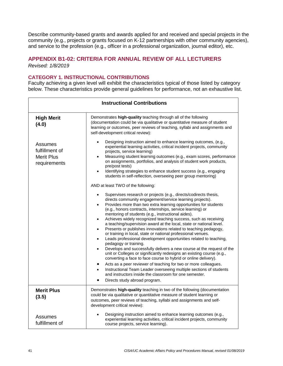Describe community-based grants and awards applied for and received and special projects in the community (e.g., projects or grants focused on K-12 partnerships with other community agencies), and service to the profession (e.g., officer in a professional organization, journal editor), etc.

#### **APPENDIX B1-02: CRITERIA FOR ANNUAL REVIEW OF ALL LECTURERS**  *Revised: 1/8/2019*

#### **CATEGORY 1. INSTRUCTIONAL CONTRIBUTIONS**

Faculty achieving a given level will exhibit the characteristics typical of those listed by category below. These characteristics provide general guidelines for performance, not an exhaustive list.

|                                                                | <b>Instructional Contributions</b>                                                                                                                                                                                                                                                                                                                                                                                                                                                                                                                                                                                                                                                                                                                                                                                                                                                                                                                                                                                                                                                                                                                                                                                                                                                                                                                                                                                                                                                                                                                                                                                                                                                                                                                       |
|----------------------------------------------------------------|----------------------------------------------------------------------------------------------------------------------------------------------------------------------------------------------------------------------------------------------------------------------------------------------------------------------------------------------------------------------------------------------------------------------------------------------------------------------------------------------------------------------------------------------------------------------------------------------------------------------------------------------------------------------------------------------------------------------------------------------------------------------------------------------------------------------------------------------------------------------------------------------------------------------------------------------------------------------------------------------------------------------------------------------------------------------------------------------------------------------------------------------------------------------------------------------------------------------------------------------------------------------------------------------------------------------------------------------------------------------------------------------------------------------------------------------------------------------------------------------------------------------------------------------------------------------------------------------------------------------------------------------------------------------------------------------------------------------------------------------------------|
| <b>High Merit</b><br>(4.0)                                     | Demonstrates high-quality teaching through all of the following<br>(documentation could be via qualitative or quantitative measure of student<br>learning or outcomes, peer reviews of teaching, syllabi and assignments and<br>self-development critical review):                                                                                                                                                                                                                                                                                                                                                                                                                                                                                                                                                                                                                                                                                                                                                                                                                                                                                                                                                                                                                                                                                                                                                                                                                                                                                                                                                                                                                                                                                       |
| Assumes<br>fulfillment of<br><b>Merit Plus</b><br>requirements | Designing instruction aimed to enhance learning outcomes, (e.g.,<br>$\bullet$<br>experiential learning activities, critical incident projects, community<br>projects, service learning)<br>Measuring student learning outcomes (e.g., exam scores, performance<br>$\bullet$<br>on assignments, portfolios, and analysis of student work products,<br>pre/post tests)<br>Identifying strategies to enhance student success (e.g., engaging<br>students in self-reflection, overseeing peer group mentoring)<br>AND at least TWO of the following:<br>Supervises research or projects (e.g., directs/codirects thesis,<br>directs community engagement/service learning projects).<br>Provides more than two extra learning opportunities for students<br>$\bullet$<br>(e.g., honors contracts, internships, service learning) or<br>mentoring of students (e.g., instructional aides).<br>Achieves widely recognized teaching success, such as receiving<br>$\bullet$<br>a teaching/supervision award at the local, state or national level.<br>Presents or publishes innovations related to teaching pedagogy,<br>$\bullet$<br>or training in local, state or national professional venues.<br>Leads professional development opportunities related to teaching,<br>$\bullet$<br>pedagogy or training.<br>Develops and successfully delivers a new course at the request of the<br>$\bullet$<br>unit or Colleges or significantly redesigns an existing course (e.g.,<br>converting a face to face course to hybrid or online delivery).<br>Acts as a peer reviewer of teaching for two or more colleagues.<br>Instructional Team Leader overseeing multiple sections of students<br>$\bullet$<br>and instructors inside the classroom for one semester. |
| <b>Merit Plus</b><br>(3.5)                                     | Directs study abroad program.<br>Demonstrates high-quality teaching in two of the following (documentation<br>could be via qualitative or quantitative measure of student learning or<br>outcomes, peer reviews of teaching, syllabi and assignments and self-<br>development critical review):                                                                                                                                                                                                                                                                                                                                                                                                                                                                                                                                                                                                                                                                                                                                                                                                                                                                                                                                                                                                                                                                                                                                                                                                                                                                                                                                                                                                                                                          |
| Assumes<br>fulfillment of                                      | Designing instruction aimed to enhance learning outcomes (e.g.,<br>experiential learning activities, critical incident projects, community<br>course projects, service learning).                                                                                                                                                                                                                                                                                                                                                                                                                                                                                                                                                                                                                                                                                                                                                                                                                                                                                                                                                                                                                                                                                                                                                                                                                                                                                                                                                                                                                                                                                                                                                                        |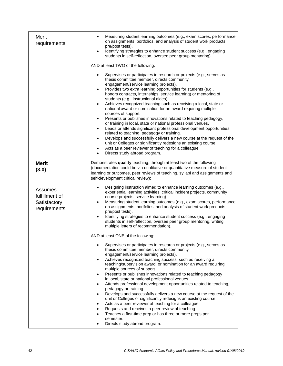| Merit<br>requirements                                     | Measuring student learning outcomes (e.g., exam scores, performance<br>on assignments, portfolios, and analysis of student work products,<br>pre/post tests).<br>Identifying strategies to enhance student success (e.g., engaging<br>$\bullet$<br>students in self-reflection, oversee peer group mentoring).                                                                                                                                                                                                                                                                                                                                                                                                                                                                                                                                                                                                                                                                                                                                                                  |
|-----------------------------------------------------------|---------------------------------------------------------------------------------------------------------------------------------------------------------------------------------------------------------------------------------------------------------------------------------------------------------------------------------------------------------------------------------------------------------------------------------------------------------------------------------------------------------------------------------------------------------------------------------------------------------------------------------------------------------------------------------------------------------------------------------------------------------------------------------------------------------------------------------------------------------------------------------------------------------------------------------------------------------------------------------------------------------------------------------------------------------------------------------|
|                                                           | AND at least TWO of the following:                                                                                                                                                                                                                                                                                                                                                                                                                                                                                                                                                                                                                                                                                                                                                                                                                                                                                                                                                                                                                                              |
|                                                           | Supervises or participates in research or projects (e.g., serves as<br>thesis committee member, directs community<br>engagement/service learning projects).<br>Provides two extra learning opportunities for students (e.g.,<br>$\bullet$<br>honors contracts, internships, service learning) or mentoring of<br>students (e.g., instructional aides).<br>Achieves recognized teaching such as receiving a local, state or<br>$\bullet$<br>national award or nomination for an award requiring multiple<br>sources of support.<br>Presents or publishes innovations related to teaching pedagogy,<br>$\bullet$<br>or training in local, state or national professional venues.<br>Leads or attends significant professional development opportunities<br>$\bullet$<br>related to teaching, pedagogy or training.<br>Develops and successfully delivers a new course at the request of the<br>$\bullet$<br>unit or Colleges or significantly redesigns an existing course.<br>Acts as a peer reviewer of teaching for a colleague.<br>Directs study abroad program.<br>$\bullet$ |
| <b>Merit</b><br>(3.0)                                     | Demonstrates quality teaching, through at least two of the following<br>(documentation could be via qualitative or quantitative measure of student<br>learning or outcomes, peer reviews of teaching, syllabi and assignments and<br>self-development critical review):                                                                                                                                                                                                                                                                                                                                                                                                                                                                                                                                                                                                                                                                                                                                                                                                         |
| Assumes<br>fulfillment of<br>Satisfactory<br>requirements | Designing instruction aimed to enhance learning outcomes (e.g.,<br>experiential learning activities, critical incident projects, community<br>course projects, service learning).<br>Measuring student learning outcomes (e.g., exam scores, performance<br>$\bullet$<br>on assignments, portfolios, and analysis of student work products,<br>pre/post tests).<br>Identifying strategies to enhance student success (e.g., engaging<br>$\bullet$<br>students in self-reflection, oversee peer group mentoring, writing<br>multiple letters of recommendation).                                                                                                                                                                                                                                                                                                                                                                                                                                                                                                                 |
|                                                           | AND at least ONE of the following:                                                                                                                                                                                                                                                                                                                                                                                                                                                                                                                                                                                                                                                                                                                                                                                                                                                                                                                                                                                                                                              |
|                                                           | Supervises or participates in research or projects (e.g., serves as<br>thesis committee member, directs community<br>engagement/service learning projects).<br>Achieves recognized teaching success, such as receiving a<br>$\bullet$<br>teaching/supervision award, or nomination for an award requiring<br>multiple sources of support.<br>Presents or publishes innovations related to teaching pedagogy<br>$\bullet$<br>in local, state or national professional venues.<br>Attends professional development opportunities related to teaching,<br>٠<br>pedagogy or training.<br>Develops and successfully delivers a new course at the request of the<br>٠<br>unit or Colleges or significantly redesigns an existing course.<br>Acts as a peer reviewer of teaching for a colleague.<br>٠<br>Requests and receives a peer review of teaching<br>Teaches a first-time prep or has three or more preps per<br>semester.<br>Directs study abroad program.                                                                                                                    |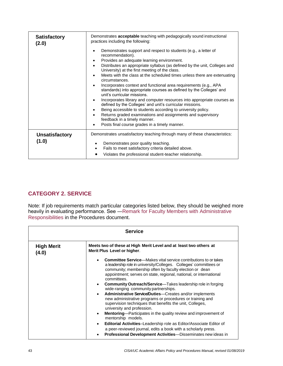| <b>Satisfactory</b><br>(2.0) | Demonstrates acceptable teaching with pedagogically sound instructional<br>practices including the following:<br>Demonstrates support and respect to students (e.g., a letter of<br>٠                                         |
|------------------------------|-------------------------------------------------------------------------------------------------------------------------------------------------------------------------------------------------------------------------------|
|                              | recommendation).<br>Provides an adequate learning environment.<br>٠<br>Distributes an appropriate syllabus (as defined by the unit, Colleges and<br>$\bullet$                                                                 |
|                              | University) at the first meeting of the class.<br>Meets with the class at the scheduled times unless there are extenuating<br>$\bullet$<br>circumstances.                                                                     |
|                              | Incorporates context and functional area requirements (e.g., APA<br>$\bullet$<br>standards) into appropriate courses as defined by the Colleges' and<br>unit's curricular missions.                                           |
|                              | Incorporates library and computer resources into appropriate courses as<br>$\bullet$<br>defined by the Colleges' and unit's curricular missions.<br>Being accessible to students according to university policy.<br>$\bullet$ |
|                              | Returns graded examinations and assignments and supervisory<br>$\bullet$<br>feedback in a timely manner.<br>Posts final course grades in a timely manner.                                                                     |
| <b>Unsatisfactory</b>        | Demonstrates unsatisfactory teaching through many of these characteristics:                                                                                                                                                   |
| (1.0)                        | Demonstrates poor quality teaching.<br>Fails to meet satisfactory criteria detailed above.<br>$\bullet$<br>Violates the professional student-teacher relationship.                                                            |

# **CATEGORY 2. SERVICE**

Note: If job requirements match particular categories listed below, they should be weighed more heavily in evaluating performance. See [―Remark for Faculty Members with Administrative](#page-27-0)  [Responsibilities](#page-27-0) in the Procedures document.

| <b>Service</b>             |                                                                                                                                                                                                                                                                                                                                                                                                                                                                                                                                                                                                                                                                                                                                                                                                                                                                                                                                                      |  |  |
|----------------------------|------------------------------------------------------------------------------------------------------------------------------------------------------------------------------------------------------------------------------------------------------------------------------------------------------------------------------------------------------------------------------------------------------------------------------------------------------------------------------------------------------------------------------------------------------------------------------------------------------------------------------------------------------------------------------------------------------------------------------------------------------------------------------------------------------------------------------------------------------------------------------------------------------------------------------------------------------|--|--|
| <b>High Merit</b><br>(4.0) | Meets two of these at High Merit Level and at least two others at<br>Merit Plus Level or higher.                                                                                                                                                                                                                                                                                                                                                                                                                                                                                                                                                                                                                                                                                                                                                                                                                                                     |  |  |
|                            | <b>Committee Service</b> —Makes vital service contributions to or takes<br>a leadership role in university/Colleges. Colleges' committees or<br>community; membership often by faculty election or dean<br>appointment; serves on state, regional, national, or international<br>committees.<br><b>Community Outreach/Service—Takes leadership role in forging</b><br>wide-ranging community partnerships.<br><b>Administrative Service/Duties</b> —Creates and/or implements<br>new administrative programs or procedures or training and<br>supervision techniques that benefits the unit, Colleges,<br>university and profession.<br><b>Mentoring</b> —Participates in the quality review and improvement of<br>mentorship models.<br><b>Editorial Activities-Leadership role as Editor/Associate Editor of</b><br>a peer-reviewed journal, edits a book with a scholarly press.<br>Professional Development Activities-Disseminates new ideas in |  |  |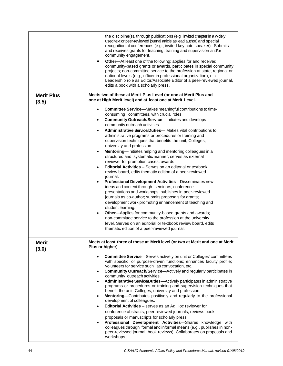|                            | the discipline(s), through publications (e.g., invited chapter in a widely<br>used text or peer-reviewed journal article as lead author) and special<br>recognition at conferences (e.g., invited key note speaker). Submits<br>and receives grants for teaching, training and supervision and/or<br>community engagement.<br><b>Other</b> —At least one of the following: applies for and received<br>$\bullet$<br>community-based grants or awards, participates in special community<br>projects; non-committee service to the profession at state, regional or<br>national levels (e.g., officer in professional organization), etc.<br>Leadership role as Editor/Associate Editor of a peer-reviewed journal,<br>edits a book with a scholarly press.                                                                                                                                                                                                                                                                                                                                                                                                                                                                                                                                                   |
|----------------------------|--------------------------------------------------------------------------------------------------------------------------------------------------------------------------------------------------------------------------------------------------------------------------------------------------------------------------------------------------------------------------------------------------------------------------------------------------------------------------------------------------------------------------------------------------------------------------------------------------------------------------------------------------------------------------------------------------------------------------------------------------------------------------------------------------------------------------------------------------------------------------------------------------------------------------------------------------------------------------------------------------------------------------------------------------------------------------------------------------------------------------------------------------------------------------------------------------------------------------------------------------------------------------------------------------------------|
| <b>Merit Plus</b><br>(3.5) | Meets two of these at Merit Plus Level (or one at Merit Plus and<br>one at High Merit level) and at least one at Merit Level.                                                                                                                                                                                                                                                                                                                                                                                                                                                                                                                                                                                                                                                                                                                                                                                                                                                                                                                                                                                                                                                                                                                                                                                |
|                            | Committee Service-Makes meaningful contributions to time-<br>$\bullet$<br>consuming committees, with crucial roles.<br>Community Outreach/Service-Initiates and develops<br>community outreach activities.<br><b>Administrative Service/Duties</b> — Makes vital contributions to<br>administrative programs or procedures or training and<br>supervision techniques that benefits the unit, Colleges,<br>university and profession.<br>Mentoring-Initiates helping and mentoring colleagues in a<br>$\bullet$<br>structured and systematic manner; serves as external<br>reviewer for promotion cases, awards.<br><b>Editorial Activities</b> - Serves on an editorial or textbook<br>review board, edits thematic edition of a peer-reviewed<br>journal.<br>Professional Development Activities-Disseminates new<br>ideas and content through seminars, conference<br>presentations and workshops; publishes in peer-reviewed<br>journals as co-author; submits proposals for grants;<br>development work promoting enhancement of teaching and<br>student learning.<br>Other-Applies for community-based grants and awards;<br>non-committee service to the profession at the university<br>level. Serves on an editorial or textbook review board, edits<br>thematic edition of a peer-reviewed journal. |
| <b>Merit</b><br>(3.0)      | Meets at least three of these at Merit level (or two at Merit and one at Merit<br>Plus or higher).<br><b>Committee Service</b> —Serves actively on unit or Colleges' committees<br>$\bullet$<br>with specific or purpose-driven functions; enhances faculty profile;<br>volunteers for service such as convocation, etc.<br><b>Community Outreach/Service</b> —Actively and regularly participates in<br>$\bullet$<br>community outreach activities.<br>Administrative Service/Duties-Actively participates in administrative<br>$\bullet$<br>programs or procedures or training and supervision techniques that<br>benefit the unit, Colleges, university and profession.<br>Mentoring-Contributes positively and regularly to the professional<br>$\bullet$<br>development of colleagues.<br><b>Editorial Activities</b> – serves as an Ad Hoc reviewer for<br>$\bullet$<br>conference abstracts, peer reviewed journals, reviews book<br>proposals or manuscripts for scholarly press.<br>Professional Development Activities-Shares knowledge with<br>$\bullet$<br>colleagues through formal and informal means (e.g., publishes in non-<br>peer-reviewed journal, book reviews). Collaborates on proposals and<br>workshops.                                                                            |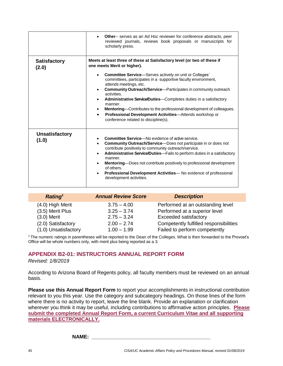|                                | <b>Other--</b> serves as an Ad Hoc reviewer for conference abstracts, peer<br>reviewed journals, reviews book proposals or manuscripts for<br>scholarly press.                                                                                                                                                                                                                                                                                                                                                                                                          |
|--------------------------------|-------------------------------------------------------------------------------------------------------------------------------------------------------------------------------------------------------------------------------------------------------------------------------------------------------------------------------------------------------------------------------------------------------------------------------------------------------------------------------------------------------------------------------------------------------------------------|
| <b>Satisfactory</b><br>(2.0)   | Meets at least three of these at Satisfactory level (or two of these if<br>one meets Merit or higher).                                                                                                                                                                                                                                                                                                                                                                                                                                                                  |
|                                | <b>Committee Service</b> —Serves actively on unit or Colleges'<br>$\bullet$<br>committees, participates in a supportive faculty environment,<br>attends meetings, etc.<br><b>Community Outreach/Service</b> —Participates in community outreach<br>$\bullet$<br>activities.<br><b>Administrative Service/Duties</b> —Completes duties in a satisfactory<br>manner.<br><b>Mentoring</b> —Contributes to the professional development of colleagues.<br>$\bullet$<br>Professional Development Activities-Attends workshop or<br>٠<br>conference related to discipline(s). |
| <b>Unsatisfactory</b><br>(1.0) | <b>Committee Service</b> —No evidence of active service.<br><b>Community Outreach/Service</b> —Does not participate in or does not<br>contribute positively to community outreach/service.<br>Administrative Service/Duties-Fails to perform duties in a satisfactory<br>manner.<br><b>Mentoring</b> —Does not contribute positively to professional development<br>of others.<br>Professional Development Activities-No evidence of professional<br>development activities.                                                                                            |

| <b>Annual Review Score</b> | <b>Description</b>                     |
|----------------------------|----------------------------------------|
| $3.75 - 4.00$              | Performed at an outstanding level      |
| $3.25 - 3.74$              | Performed at a superior level          |
| $2.75 - 3.24$              | Exceeded satisfactory                  |
| $2.00 - 2.74$              | Competently fulfilled responsibilities |
| $1.00 - 1.99$              | Failed to perform competently          |
|                            |                                        |

<sup>1</sup>The numeric ratings in parentheses will be reported to the Dean of the Colleges. What is then forwarded to the Provost's Office will be whole numbers only, with merit plus being reported as a 3.

### **APPENDIX B2-01: INSTRUCTORS ANNUAL REPORT FORM**

*Revised: 1/8/2019*

According to Arizona Board of Regents policy, all faculty members must be reviewed on an annual basis.

**Please use this Annual Report Form** to report your accomplishments in instructional contribution relevant to you this year. Use the category and subcategory headings. On those lines of the form where there is no activity to report, leave the line blank. Provide an explanation or clarification wherever you think it may be useful, including contributions to affirmative action principles. **Please submit the completed Annual Report Form, a current Curriculum Vitae and all supporting materials ELECTRONICALLY.**

**NAME: \_\_\_\_\_\_\_\_\_\_\_\_\_\_\_\_\_\_\_\_\_\_\_\_\_\_\_\_\_\_\_\_\_\_\_\_\_\_\_\_\_\_**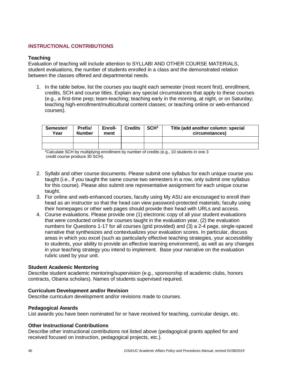#### **INSTRUCTIONAL CONTRIBUTIONS**

#### **Teaching**

Evaluation of teaching will include attention to SYLLABI AND OTHER COURSE MATERIALS, student evaluations, the number of students enrolled in a class and the demonstrated relation between the classes offered and departmental needs.

1. In the table below, list the courses you taught each semester (most recent first), enrollment, credits, SCH and course titles. Explain any special circumstances that apply to these courses (e.g., a first-time prep; team-teaching; teaching early in the morning, at night, or on Saturday; teaching high-enrollment/multicultural content classes; or teaching online or web-enhanced courses).

| Semester/<br>Year | Prefix/<br><b>Number</b> | Enroll-<br>ment | <b>Credits</b> | SCH <sup>1</sup> | Title (add another column: special<br>circumstances) |
|-------------------|--------------------------|-----------------|----------------|------------------|------------------------------------------------------|
|                   |                          |                 |                |                  |                                                      |
|                   |                          |                 |                |                  |                                                      |

<sup>1</sup>Calculate SCH by multiplying enrollment by number of credits (e.g., 10 students in one 3 credit course produce 30 SCH).

- 2. Syllabi and other course documents. Please submit one syllabus for each unique course you taught (i.e., if you taught the same course two semesters in a row, only submit one syllabus for this course). Please also submit one representative assignment for each unique course taught.
- 3. For online and web-enhanced courses, faculty using My ASU are encouraged to enroll their head as an instructor so that the head can view password-protected materials; faculty using their homepages or other web pages should provide their head with URLs and access.
- 4. Course evaluations. Please provide one (1) electronic copy of all your student evaluations that were conducted online for courses taught in the evaluation year, (2) the evaluation numbers for Questions 1-17 for all courses (grid provided) and (3) a 2-4 page, single-spaced narrative that synthesizes and contextualizes your evaluation scores. In particular, discuss areas in which you excel (such as particularly effective teaching strategies, your accessibility to students, your ability to provide an effective learning environment), as well as any changes in your teaching strategy you intend to implement. Base your narrative on the evaluation rubric used by your unit.

#### **Student Academic Mentoring**

Describe student academic mentoring/supervision (e.g., sponsorship of academic clubs, honors contracts, Obama scholars). Names of students supervised required.

#### **Curriculum Development and/or Revision**

Describe curriculum development and/or revisions made to courses.

#### **Pedagogical Awards**

List awards you have been nominated for or have received for teaching, curricular design, etc.

#### **Other Instructional Contributions**

Describe other instructional contributions not listed above (pedagogical grants applied for and received focused on instruction, pedagogical projects, etc.).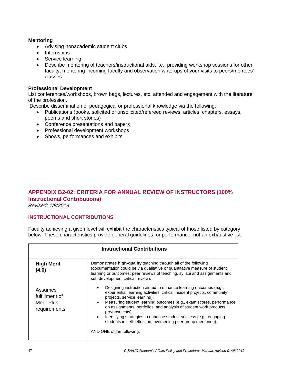#### **Mentoring**

- Advising nonacademic student clubs
- Internships
- Service learning
- Describe mentoring of teachers/instructional aids, i.e., providing workshop sessions for other faculty, mentoring incoming faculty and observation write-ups of your visits to peers/mentees' classes.

#### **Professional Development**

List conferences/workshops, brown bags, lectures, etc. attended and engagement with the literature of the profession.

Describe dissemination of pedagogical or professional knowledge via the following:

- Publications (books, solicited or unsolicited/refereed reviews, articles, chapters, essays, poems and short stories)
- Conference presentations and papers
- Professional development workshops
- Shows, performances and exhibits

# **APPENDIX B2-02: CRITERIA FOR ANNUAL REVIEW OF INSTRUCTORS (100% Instructional Contributions)**

*Revised: 1/8/2019*

#### **INSTRUCTIONAL CONTRIBUTIONS**

Faculty achieving a given level will exhibit the characteristics typical of those listed by category below. These characteristics provide general guidelines for performance, not an exhaustive list.

| <b>Instructional Contributions</b>                      |                                                                                                                                                                                                                                                                                                                                                                                                                                                                                                                                           |  |  |
|---------------------------------------------------------|-------------------------------------------------------------------------------------------------------------------------------------------------------------------------------------------------------------------------------------------------------------------------------------------------------------------------------------------------------------------------------------------------------------------------------------------------------------------------------------------------------------------------------------------|--|--|
| <b>High Merit</b><br>(4.0)                              | Demonstrates high-quality teaching through all of the following<br>(documentation could be via qualitative or quantitative measure of student<br>learning or outcomes, peer reviews of teaching, syllabi and assignments and<br>self-development critical review):                                                                                                                                                                                                                                                                        |  |  |
| Assumes<br>fulfillment of<br>Merit Plus<br>requirements | Designing instruction aimed to enhance learning outcomes (e.g.,<br>experiential learning activities, critical incident projects, community<br>projects, service learning).<br>Measuring student learning outcomes (e.g., exam scores, performance<br>$\bullet$<br>on assignments, portfolios, and analysis of student work products,<br>pre/post tests).<br>Identifying strategies to enhance student success (e.g., engaging<br>$\bullet$<br>students in self-reflection, overseeing peer group mentoring).<br>AND ONE of the following: |  |  |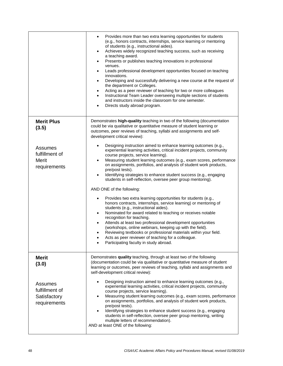|                                                           | Provides more than two extra learning opportunities for students<br>$\bullet$<br>(e.g., honors contracts, internships, service learning or mentoring<br>of students (e.g., instructional aides).<br>Achieves widely recognized teaching success, such as receiving<br>$\bullet$<br>a teaching award.<br>Presents or publishes teaching innovations in professional<br>$\bullet$<br>venues.<br>Leads professional development opportunities focused on teaching<br>$\bullet$<br>innovations.<br>Developing and successfully delivering a new course at the request of<br>$\bullet$<br>the department or Colleges.<br>Acting as a peer reviewer of teaching for two or more colleagues<br>٠<br>Instructional Team Leader overseeing multiple sections of students<br>$\bullet$<br>and instructors inside the classroom for one semester.<br>Directs study abroad program.<br>$\bullet$                                                                                                                                                                                                                                                                          |
|-----------------------------------------------------------|---------------------------------------------------------------------------------------------------------------------------------------------------------------------------------------------------------------------------------------------------------------------------------------------------------------------------------------------------------------------------------------------------------------------------------------------------------------------------------------------------------------------------------------------------------------------------------------------------------------------------------------------------------------------------------------------------------------------------------------------------------------------------------------------------------------------------------------------------------------------------------------------------------------------------------------------------------------------------------------------------------------------------------------------------------------------------------------------------------------------------------------------------------------|
| <b>Merit Plus</b><br>(3.5)                                | Demonstrates high-quality teaching in two of the following (documentation<br>could be via qualitative or quantitative measure of student learning or<br>outcomes, peer reviews of teaching, syllabi and assignments and self-<br>development critical review):                                                                                                                                                                                                                                                                                                                                                                                                                                                                                                                                                                                                                                                                                                                                                                                                                                                                                                |
| Assumes<br>fulfillment of<br><b>Merit</b><br>requirements | Designing instruction aimed to enhance learning outcomes (e.g.,<br>experiential learning activities, critical incident projects, community<br>course projects, service learning).<br>Measuring student learning outcomes (e.g., exam scores, performance<br>$\bullet$<br>on assignments, portfolios, and analysis of student work products,<br>pre/post tests).<br>Identifying strategies to enhance student success (e.g., engaging<br>$\bullet$<br>students in self-reflection, oversee peer group mentoring).<br>AND ONE of the following:<br>Provides two extra learning opportunities for students (e.g.,<br>$\bullet$<br>honors contracts, internships, service learning) or mentoring of<br>students (e.g., instructional aides).<br>Nominated for award related to teaching or receives notable<br>$\bullet$<br>recognition for teaching.<br>Attends at least two professional development opportunities<br>$\bullet$<br>(workshops, online webinars, keeping up with the field).<br>Reviewing textbooks or professional materials within your field.<br>Acts as peer reviewer of teaching for a colleague.<br>Participating faculty in study abroad. |
| <b>Merit</b><br>(3.0)                                     | Demonstrates quality teaching, through at least two of the following<br>(documentation could be via qualitative or quantitative measure of student<br>learning or outcomes, peer reviews of teaching, syllabi and assignments and<br>self-development critical review):                                                                                                                                                                                                                                                                                                                                                                                                                                                                                                                                                                                                                                                                                                                                                                                                                                                                                       |
| Assumes<br>fulfillment of<br>Satisfactory<br>requirements | Designing instruction aimed to enhance learning outcomes (e.g.,<br>experiential learning activities, critical incident projects, community<br>course projects, service learning).<br>Measuring student learning outcomes (e.g., exam scores, performance<br>on assignments, portfolios, and analysis of student work products,<br>pre/post tests).<br>Identifying strategies to enhance student success (e.g., engaging<br>students in self-reflection, oversee peer group mentoring, writing<br>multiple letters of recommendation).<br>AND at least ONE of the following:                                                                                                                                                                                                                                                                                                                                                                                                                                                                                                                                                                                   |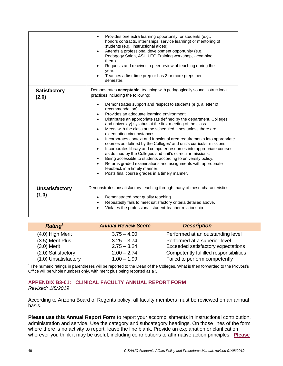|                                | Provides one extra learning opportunity for students (e.g.,<br>honors contracts, internships, service learning) or mentoring of<br>students (e.g., instructional aides).<br>Attends a professional development opportunity (e.g.,<br>Pedagogy Salon, ASU UTO Training workshop, --combine<br>them).<br>Requests and receives a peer review of teaching during the<br>year.<br>Teaches a first-time prep or has 3 or more preps per<br>semester.                                                                                                                                                                                                                                                                                                                                                                                                                                                                                 |
|--------------------------------|---------------------------------------------------------------------------------------------------------------------------------------------------------------------------------------------------------------------------------------------------------------------------------------------------------------------------------------------------------------------------------------------------------------------------------------------------------------------------------------------------------------------------------------------------------------------------------------------------------------------------------------------------------------------------------------------------------------------------------------------------------------------------------------------------------------------------------------------------------------------------------------------------------------------------------|
| <b>Satisfactory</b><br>(2.0)   | Demonstrates acceptable teaching with pedagogically sound instructional<br>practices including the following:                                                                                                                                                                                                                                                                                                                                                                                                                                                                                                                                                                                                                                                                                                                                                                                                                   |
|                                | Demonstrates support and respect to students (e.g. a letter of<br>$\bullet$<br>recommendation).<br>Provides an adequate learning environment.<br>Distributes an appropriate (as defined by the department, Colleges<br>$\bullet$<br>and university) syllabus at the first meeting of the class.<br>Meets with the class at the scheduled times unless there are<br>$\bullet$<br>extenuating circumstances.<br>Incorporates context and functional area requirements into appropriate<br>$\bullet$<br>courses as defined by the Colleges' and unit's curricular missions.<br>Incorporates library and computer resources into appropriate courses<br>as defined by the Colleges and unit's curricular missions.<br>Being accessible to students according to university policy.<br>Returns graded examinations and assignments with appropriate<br>feedback in a timely manner.<br>Posts final course grades in a timely manner. |
| <b>Unsatisfactory</b><br>(1.0) | Demonstrates unsatisfactory teaching through many of these characteristics:<br>Demonstrated poor quality teaching.<br>Repeatedly fails to meet satisfactory criteria detailed above.<br>Violates the professional student-teacher relationship.                                                                                                                                                                                                                                                                                                                                                                                                                                                                                                                                                                                                                                                                                 |

| Rating <sup>1</sup>  | <b>Annual Review Score</b> | <b>Description</b>                     |
|----------------------|----------------------------|----------------------------------------|
| (4.0) High Merit     | $3.75 - 4.00$              | Performed at an outstanding level      |
| (3.5) Merit Plus     | $3.25 - 3.74$              | Performed at a superior level          |
| $(3.0)$ Merit        | $2.75 - 3.24$              | Exceeded satisfactory expectations     |
| (2.0) Satisfactory   | $2.00 - 2.74$              | Competently fulfilled responsibilities |
| (1.0) Unsatisfactory | $1.00 - 1.99$              | Failed to perform competently          |

<sup>1</sup>The numeric ratings in parentheses will be reported to the Dean of the Colleges. What is then forwarded to the Provost's Office will be whole numbers only, with merit plus being reported as a 3.

#### **APPENDIX B3-01: CLINICAL FACULTY ANNUAL REPORT FORM** *Revised: 1/8/2019*

According to Arizona Board of Regents policy, all faculty members must be reviewed on an annual basis.

**Please use this Annual Report Form** to report your accomplishments in instructional contribution, administration and service. Use the category and subcategory headings. On those lines of the form where there is no activity to report, leave the line blank. Provide an explanation or clarification wherever you think it may be useful, including contributions to affirmative action principles. **Please**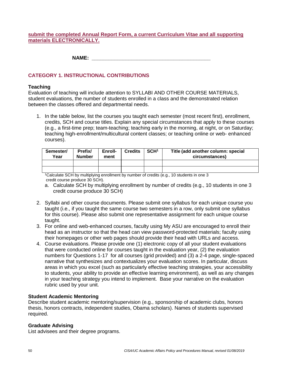#### **submit the completed Annual Report Form, a current Curriculum Vitae and all supporting materials ELECTRONICALLY.**

**NAME: \_\_\_\_\_\_\_\_\_\_\_\_\_\_\_\_\_\_\_\_\_\_\_\_\_\_\_\_\_\_\_\_\_\_\_\_\_\_\_\_\_\_**

### **CATEGORY 1. INSTRUCTIONAL CONTRIBUTIONS**

#### **Teaching**

Evaluation of teaching will include attention to SYLLABI AND OTHER COURSE MATERIALS, student evaluations, the number of students enrolled in a class and the demonstrated relation between the classes offered and departmental needs.

1. In the table below, list the courses you taught each semester (most recent first), enrollment, credits, SCH and course titles. Explain any special circumstances that apply to these courses (e.g., a first-time prep; team-teaching; teaching early in the morning, at night, or on Saturday; teaching high-enrollment/multicultural content classes; or teaching online or web- enhanced courses).

| Semester/<br>Year | Prefix/<br><b>Number</b> | Enroll-<br>ment | <b>Credits</b> | SCH <sup>1</sup> | Title (add another column: special<br>circumstances) |
|-------------------|--------------------------|-----------------|----------------|------------------|------------------------------------------------------|
|                   |                          |                 |                |                  |                                                      |
|                   |                          |                 |                |                  |                                                      |

<sup>1</sup>Calculate SCH by multiplying enrollment by number of credits (e.g., 10 students in one 3 credit course produce 30 SCH).

- a. Calculate SCH by multiplying enrollment by number of credits (e.g., 10 students in one 3 credit course produce 30 SCH)
- 2. Syllabi and other course documents. Please submit one syllabus for each unique course you taught (i.e., if you taught the same course two semesters in a row, only submit one syllabus for this course). Please also submit one representative assignment for each unique course taught.
- 3. For online and web-enhanced courses, faculty using My ASU are encouraged to enroll their head as an instructor so that the head can view password-protected materials; faculty using their homepages or other web pages should provide their head with URLs and access.
- 4. Course evaluations. Please provide one (1) electronic copy of all your student evaluations that were conducted online for courses taught in the evaluation year, (2) the evaluation numbers for Questions 1-17 for all courses (grid provided) and (3) a 2-4 page, single-spaced narrative that synthesizes and contextualizes your evaluation scores. In particular, discuss areas in which you excel (such as particularly effective teaching strategies, your accessibility to students, your ability to provide an effective learning environment), as well as any changes in your teaching strategy you intend to implement. Base your narrative on the evaluation rubric used by your unit.

#### **Student Academic Mentoring**

Describe student academic mentoring/supervision (e.g., sponsorship of academic clubs, honors thesis, honors contracts, independent studies, Obama scholars). Names of students supervised required.

#### **Graduate Advising**

List advisees and their degree programs.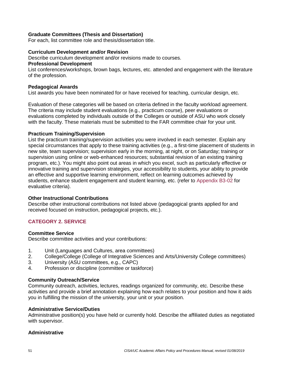#### **Graduate Committees (Thesis and Dissertation)**

For each, list committee role and thesis/dissertation title.

#### **Curriculum Development and/or Revision**

Describe curriculum development and/or revisions made to courses.

#### **Professional Development**

List conferences/workshops, brown bags, lectures, etc. attended and engagement with the literature of the profession.

#### **Pedagogical Awards**

List awards you have been nominated for or have received for teaching, curricular design, etc.

Evaluation of these categories will be based on criteria defined in the faculty workload agreement. The criteria may include student evaluations (e.g., practicum course), peer evaluations or evaluations completed by individuals outside of the Colleges or outside of ASU who work closely with the faculty. These materials must be submitted to the FAR committee chair for your unit.

#### **Practicum Training/Supervision**

List the practicum training/supervision activities you were involved in each semester. Explain any special circumstances that apply to these training activities (e.g., a first-time placement of students in new site, team supervision; supervision early in the morning, at night, or on Saturday; training or supervision using online or web-enhanced resources; substantial revision of an existing training program, etc.). You might also point out areas in which you excel, such as particularly effective or innovative training and supervision strategies, your accessibility to students, your ability to provide an effective and supportive learning environment, reflect on learning outcomes achieved by students, enhance student engagement and student learning, etc. (refer to [Appendix B3-02](#page-51-0) for evaluative criteria).

#### **Other Instructional Contributions**

Describe other instructional contributions not listed above (pedagogical grants applied for and received focused on instruction, pedagogical projects, etc.).

#### **CATEGORY 2. SERVICE**

#### **Committee Service**

Describe committee activities and your contributions:

- 1. Unit (Languages and Cultures, area committees)
- 2. College/College (College of Integrative Sciences and Arts/University College committees)
- 3. University (ASU committees, e.g., CAPC)
- 4. Profession or discipline (committee or taskforce)

#### **Community Outreach/Service**

Community outreach, activities, lectures, readings organized for community, etc. Describe these activities and provide a brief annotation explaining how each relates to your position and how it aids you in fulfilling the mission of the university, your unit or your position.

#### **Administrative Service/Duties**

Administrative position(s) you have held or currently hold. Describe the affiliated duties as negotiated with supervisor.

#### **Administrative**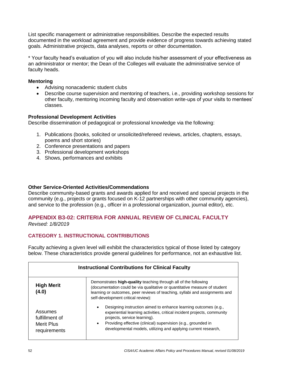List specific management or administrative responsibilities. Describe the expected results documented in the workload agreement and provide evidence of progress towards achieving stated goals. Administrative projects, data analyses, reports or other documentation.

\* Your faculty head's evaluation of you will also include his/her assessment of your effectiveness as an administrator or mentor; the Dean of the Colleges will evaluate the administrative service of faculty heads.

#### **Mentoring**

- Advising nonacademic student clubs
- Describe course supervision and mentoring of teachers, i.e., providing workshop sessions for other faculty, mentoring incoming faculty and observation write-ups of your visits to mentees' classes.

### **Professional Development Activities**

Describe dissemination of pedagogical or professional knowledge via the following:

- 1. Publications (books, solicited or unsolicited/refereed reviews, articles, chapters, essays, poems and short stories)
- 2. Conference presentations and papers
- 3. Professional development workshops
- 4. Shows, performances and exhibits

### **Other Service-Oriented Activities/Commendations**

Describe community-based grants and awards applied for and received and special projects in the community (e.g., projects or grants focused on K-12 partnerships with other community agencies), and service to the profession (e.g., officer in a professional organization, journal editor), etc.

### <span id="page-51-0"></span>**APPENDIX B3-02: CRITERIA FOR ANNUAL REVIEW OF CLINICAL FACULTY**

*Revised: 1/8/2019*

### **CATEGORY 1. INSTRUCTIONAL CONTRIBUTIONS**

Faculty achieving a given level will exhibit the characteristics typical of those listed by category below. These characteristics provide general guidelines for performance, not an exhaustive list.

| <b>Instructional Contributions for Clinical Faculty</b> |                                                                                                                                                                                                                                                                                                                                         |  |  |
|---------------------------------------------------------|-----------------------------------------------------------------------------------------------------------------------------------------------------------------------------------------------------------------------------------------------------------------------------------------------------------------------------------------|--|--|
| <b>High Merit</b><br>(4.0)                              | Demonstrates high-quality teaching through all of the following<br>(documentation could be via qualitative or quantitative measure of student<br>learning or outcomes, peer reviews of teaching, syllabi and assignments and<br>self-development critical review):                                                                      |  |  |
| Assumes<br>fulfillment of<br>Merit Plus<br>requirements | Designing instruction aimed to enhance learning outcomes (e.g.,<br>$\bullet$<br>experiential learning activities, critical incident projects, community<br>projects, service learning).<br>Providing effective (clinical) supervision (e.g., grounded in<br>$\bullet$<br>developmental models, utilizing and applying current research, |  |  |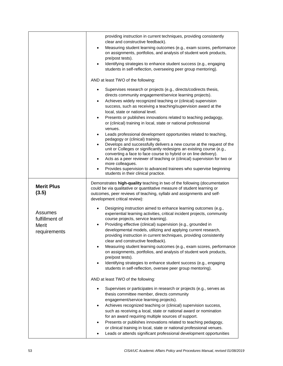|                                                    | providing instruction in current techniques, providing consistently<br>clear and constructive feedback).<br>Measuring student learning outcomes (e.g., exam scores, performance<br>$\bullet$<br>on assignments, portfolios, and analysis of student work products,<br>pre/post tests).<br>Identifying strategies to enhance student success (e.g., engaging<br>$\bullet$<br>students in self-reflection, overseeing peer group mentoring).                                                                                                                                                                                                                                                                                                                                                                                                                                                                                                                                                                                                                         |  |  |
|----------------------------------------------------|--------------------------------------------------------------------------------------------------------------------------------------------------------------------------------------------------------------------------------------------------------------------------------------------------------------------------------------------------------------------------------------------------------------------------------------------------------------------------------------------------------------------------------------------------------------------------------------------------------------------------------------------------------------------------------------------------------------------------------------------------------------------------------------------------------------------------------------------------------------------------------------------------------------------------------------------------------------------------------------------------------------------------------------------------------------------|--|--|
|                                                    | AND at least TWO of the following:                                                                                                                                                                                                                                                                                                                                                                                                                                                                                                                                                                                                                                                                                                                                                                                                                                                                                                                                                                                                                                 |  |  |
|                                                    | Supervises research or projects (e.g., directs/codirects thesis,<br>٠<br>directs community engagement/service learning projects).<br>Achieves widely recognized teaching or (clinical) supervision<br>٠<br>success, such as receiving a teaching/supervision award at the<br>local, state or national level.<br>Presents or publishes innovations related to teaching pedagogy,<br>$\bullet$<br>or (clinical) training in local, state or national professional<br>venues.<br>Leads professional development opportunities related to teaching,<br>$\bullet$<br>pedagogy or (clinical) training.<br>Develops and successfully delivers a new course at the request of the<br>$\bullet$<br>unit or Colleges or significantly redesigns an existing course (e.g.,<br>converting a face to face course to hybrid or on line delivery).<br>Acts as a peer reviewer of teaching or (clinical) supervision for two or<br>٠<br>more colleagues.<br>Provides supervision to advanced trainees who supervise beginning<br>$\bullet$<br>students in their clinical practice. |  |  |
| <b>Merit Plus</b><br>(3.5)                         | Demonstrates high-quality teaching in two of the following (documentation<br>could be via qualitative or quantitative measure of student learning or<br>outcomes, peer reviews of teaching, syllabi and assignments and self-<br>development critical review):                                                                                                                                                                                                                                                                                                                                                                                                                                                                                                                                                                                                                                                                                                                                                                                                     |  |  |
| Assumes<br>fulfillment of<br>Merit<br>requirements | Designing instruction aimed to enhance learning outcomes (e.g.,<br>experiential learning activities, critical incident projects, community<br>course projects, service learning).<br>Providing effective (clinical) supervision (e.g., grounded in<br>$\bullet$<br>developmental models, utilizing and applying current research,<br>providing instruction in current techniques, providing consistently<br>clear and constructive feedback).<br>Measuring student learning outcomes (e.g., exam scores, performance<br>٠<br>on assignments, portfolios, and analysis of student work products,<br>pre/post tests).<br>Identifying strategies to enhance student success (e.g., engaging<br>$\bullet$<br>students in self-reflection, oversee peer group mentoring).                                                                                                                                                                                                                                                                                               |  |  |
|                                                    | AND at least TWO of the following:                                                                                                                                                                                                                                                                                                                                                                                                                                                                                                                                                                                                                                                                                                                                                                                                                                                                                                                                                                                                                                 |  |  |
|                                                    | Supervises or participates in research or projects (e.g., serves as<br>thesis committee member, directs community<br>engagement/service learning projects).<br>Achieves recognized teaching or (clinical) supervision success,<br>such as receiving a local, state or national award or nomination<br>for an award requiring multiple sources of support.<br>Presents or publishes innovations related to teaching pedagogy,<br>or clinical training in local, state or national professional venues.<br>Leads or attends significant professional development opportunities                                                                                                                                                                                                                                                                                                                                                                                                                                                                                       |  |  |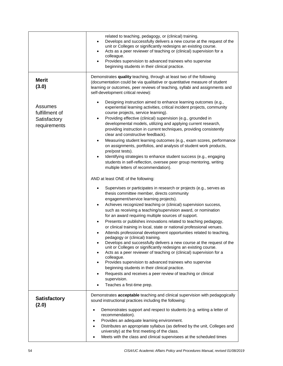|                                                           | related to teaching, pedagogy, or (clinical) training.<br>Develops and successfully delivers a new course at the request of the<br>$\bullet$<br>unit or Colleges or significantly redesigns an existing course.<br>Acts as a peer reviewer of teaching or (clinical) supervision for a<br>$\bullet$<br>colleague.<br>Provides supervision to advanced trainees who supervise<br>beginning students in their clinical practice.                                                                                                                                                                                                                                                                                                                                                                                                                                                                                                                                                                                                                                                                          |  |  |
|-----------------------------------------------------------|---------------------------------------------------------------------------------------------------------------------------------------------------------------------------------------------------------------------------------------------------------------------------------------------------------------------------------------------------------------------------------------------------------------------------------------------------------------------------------------------------------------------------------------------------------------------------------------------------------------------------------------------------------------------------------------------------------------------------------------------------------------------------------------------------------------------------------------------------------------------------------------------------------------------------------------------------------------------------------------------------------------------------------------------------------------------------------------------------------|--|--|
| <b>Merit</b><br>(3.0)                                     | Demonstrates quality teaching, through at least two of the following<br>(documentation could be via qualitative or quantitative measure of student<br>learning or outcomes, peer reviews of teaching, syllabi and assignments and<br>self-development critical review):                                                                                                                                                                                                                                                                                                                                                                                                                                                                                                                                                                                                                                                                                                                                                                                                                                 |  |  |
| Assumes<br>fulfillment of<br>Satisfactory<br>requirements | Designing instruction aimed to enhance learning outcomes (e.g.,<br>experiential learning activities, critical incident projects, community<br>course projects, service learning).<br>Providing effective (clinical) supervision (e.g., grounded in<br>$\bullet$<br>developmental models, utilizing and applying current research,<br>providing instruction in current techniques, providing consistently<br>clear and constructive feedback).<br>Measuring student learning outcomes (e.g., exam scores, performance<br>$\bullet$<br>on assignments, portfolios, and analysis of student work products,<br>pre/post tests).<br>Identifying strategies to enhance student success (e.g., engaging<br>$\bullet$<br>students in self-reflection, oversee peer group mentoring, writing<br>multiple letters of recommendation).                                                                                                                                                                                                                                                                             |  |  |
|                                                           | AND at least ONE of the following:                                                                                                                                                                                                                                                                                                                                                                                                                                                                                                                                                                                                                                                                                                                                                                                                                                                                                                                                                                                                                                                                      |  |  |
|                                                           | Supervises or participates in research or projects (e.g., serves as<br>thesis committee member, directs community<br>engagement/service learning projects).<br>Achieves recognized teaching or (clinical) supervision success,<br>٠<br>such as receiving a teaching/supervision award, or nomination<br>for an award requiring multiple sources of support.<br>Presents or publishes innovations related to teaching pedagogy,<br>$\bullet$<br>or clinical training in local, state or national professional venues.<br>Attends professional development opportunities related to teaching,<br>pedagogy or (clinical) training.<br>Develops and successfully delivers a new course at the request of the<br>unit or Colleges or significantly redesigns an existing course.<br>Acts as a peer reviewer of teaching or (clinical) supervision for a<br>colleague.<br>Provides supervision to advanced trainees who supervise<br>$\bullet$<br>beginning students in their clinical practice.<br>Requests and receives a peer review of teaching or clinical<br>supervision.<br>Teaches a first-time prep. |  |  |
| <b>Satisfactory</b><br>(2.0)                              | Demonstrates acceptable teaching and clinical supervision with pedagogically<br>sound instructional practices including the following:<br>Demonstrates support and respect to students (e.g. writing a letter of<br>$\bullet$<br>recommendation).<br>Provides an adequate learning environment.<br>$\bullet$<br>Distributes an appropriate syllabus (as defined by the unit, Colleges and<br>$\bullet$<br>university) at the first meeting of the class.<br>Meets with the class and clinical supervisees at the scheduled times<br>٠                                                                                                                                                                                                                                                                                                                                                                                                                                                                                                                                                                   |  |  |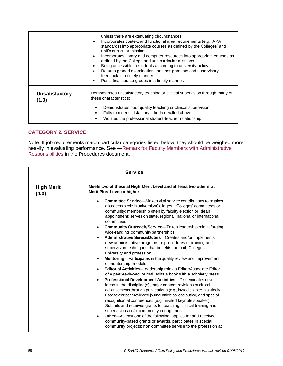|                                | unless there are extenuating circumstances.<br>Incorporates context and functional area requirements (e.g., APA<br>$\bullet$<br>standards) into appropriate courses as defined by the Colleges' and<br>unit's curricular missions.<br>Incorporates library and computer resources into appropriate courses as<br>$\bullet$<br>defined by the College and unit curricular missions.<br>Being accessible to students according to university policy.<br>Returns graded examinations and assignments and supervisory<br>$\bullet$<br>feedback in a timely manner.<br>Posts final course grades in a timely manner.<br>$\bullet$ |  |
|--------------------------------|------------------------------------------------------------------------------------------------------------------------------------------------------------------------------------------------------------------------------------------------------------------------------------------------------------------------------------------------------------------------------------------------------------------------------------------------------------------------------------------------------------------------------------------------------------------------------------------------------------------------------|--|
| <b>Unsatisfactory</b><br>(1.0) | Demonstrates unsatisfactory teaching or clinical supervision through many of<br>these characteristics:<br>Demonstrates poor quality teaching or clinical supervision.<br>Fails to meet satisfactory criteria detailed above.<br>Violates the professional student-teacher relationship.<br>٠                                                                                                                                                                                                                                                                                                                                 |  |

### **CATEGORY 2. SERVICE**

Note: If job requirements match particular categories listed below, they should be weighed more heavily in evaluating performance. See [―Remark for Faculty Members with Administrative](#page-27-0)  [Responsibilities](#page-27-0) in the Procedures document.

| <b>Service</b>             |                                                                                                                                                                                                                                                                                                                                                                                                                                                                                                                                                                                                                                                                                                                                                                                                                                                                                                                                                                                                                                                                                                                                                                                                                                                                                                                                                                                                                                                                                                                                                                                                      |  |
|----------------------------|------------------------------------------------------------------------------------------------------------------------------------------------------------------------------------------------------------------------------------------------------------------------------------------------------------------------------------------------------------------------------------------------------------------------------------------------------------------------------------------------------------------------------------------------------------------------------------------------------------------------------------------------------------------------------------------------------------------------------------------------------------------------------------------------------------------------------------------------------------------------------------------------------------------------------------------------------------------------------------------------------------------------------------------------------------------------------------------------------------------------------------------------------------------------------------------------------------------------------------------------------------------------------------------------------------------------------------------------------------------------------------------------------------------------------------------------------------------------------------------------------------------------------------------------------------------------------------------------------|--|
| <b>High Merit</b><br>(4.0) | Meets two of these at High Merit Level and at least two others at<br>Merit Plus Level or higher.                                                                                                                                                                                                                                                                                                                                                                                                                                                                                                                                                                                                                                                                                                                                                                                                                                                                                                                                                                                                                                                                                                                                                                                                                                                                                                                                                                                                                                                                                                     |  |
|                            | <b>Committee Service</b> —Makes vital service contributions to or takes<br>a leadership role in university/Colleges. Colleges' committees or<br>community; membership often by faculty election or dean<br>appointment; serves on state, regional, national or international<br>committees.<br>Community Outreach/Service-Takes leadership role in forging<br>$\bullet$<br>wide-ranging community partnerships.<br>Administrative Service/Duties-Creates and/or implements<br>$\bullet$<br>new administrative programs or procedures or training and<br>supervision techniques that benefits the unit, Colleges,<br>university and profession.<br><b>Mentoring—Participates in the quality review and improvement</b><br>$\bullet$<br>of mentorship models.<br>Editorial Activities-Leadership role as Editor/Associate Editor<br>$\bullet$<br>of a peer-reviewed journal, edits a book with a scholarly press.<br>Professional Development Activities-Disseminates new<br>$\bullet$<br>ideas in the discipline(s), major content revisions or clinical<br>advancements through publications (e.g., invited chapter in a widely<br>used text or peer-reviewed journal article as lead author) and special<br>recognition at conferences (e.g., invited keynote speaker).<br>Submits and receives grants for teaching, clinical training and<br>supervision and/or community engagement.<br>Other-At least one of the following: applies for and received<br>$\bullet$<br>community-based grants or awards, participates in special<br>community projects; non-committee service to the profession at |  |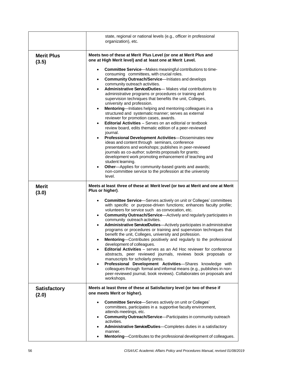|                              | state, regional or national levels (e.g., officer in professional<br>organization), etc.                                                                                                                                                                                                                                                                                                                                                                                                                                                                                                                                                                                                                                                                                                                                                                                                                                                                                                                                                                                                                                                             |  |  |
|------------------------------|------------------------------------------------------------------------------------------------------------------------------------------------------------------------------------------------------------------------------------------------------------------------------------------------------------------------------------------------------------------------------------------------------------------------------------------------------------------------------------------------------------------------------------------------------------------------------------------------------------------------------------------------------------------------------------------------------------------------------------------------------------------------------------------------------------------------------------------------------------------------------------------------------------------------------------------------------------------------------------------------------------------------------------------------------------------------------------------------------------------------------------------------------|--|--|
| <b>Merit Plus</b><br>(3.5)   | Meets two of these at Merit Plus Level (or one at Merit Plus and<br>one at High Merit level) and at least one at Merit Level.<br><b>Committee Service</b> —Makes meaningful contributions to time-                                                                                                                                                                                                                                                                                                                                                                                                                                                                                                                                                                                                                                                                                                                                                                                                                                                                                                                                                   |  |  |
|                              | consuming committees, with crucial roles.<br><b>Community Outreach/Service</b> -Initiates and develops<br>$\bullet$<br>community outreach activities.<br>Administrative Service/Duties-Makes vital contributions to<br>administrative programs or procedures or training and<br>supervision techniques that benefits the unit, Colleges,<br>university and profession.<br>Mentoring-Initiates helping and mentoring colleagues in a<br>$\bullet$<br>structured and systematic manner; serves as external<br>reviewer for promotion cases, awards.<br><b>Editorial Activities</b> – Serves on an editorial or textbook<br>$\bullet$<br>review board, edits thematic edition of a peer-reviewed<br>journal.<br>Professional Development Activities-Disseminates new<br>ideas and content through seminars, conference<br>presentations and workshops; publishes in peer-reviewed<br>journals as co-author; submits proposals for grants;<br>development work promoting enhancement of teaching and<br>student learning.<br>Other-Applies for community-based grants and awards;<br>non-committee service to the profession at the university<br>level. |  |  |
| <b>Merit</b><br>(3.0)        | Meets at least three of these at Merit level (or two at Merit and one at Merit<br>Plus or higher).                                                                                                                                                                                                                                                                                                                                                                                                                                                                                                                                                                                                                                                                                                                                                                                                                                                                                                                                                                                                                                                   |  |  |
|                              | <b>Committee Service</b> —Serves actively on unit or Colleges' committees<br>with specific or purpose-driven functions; enhances faculty profile;<br>volunteers for service such as convocation, etc.<br><b>Community Outreach/Service</b> —Actively and regularly participates in<br>$\bullet$<br>community outreach activities.<br>Administrative Service/Duties-Actively participates in administrative<br>programs or procedures or training and supervision techniques that<br>benefit the unit, Colleges, university and profession.<br><b>Mentoring</b> —Contributes positively and regularly to the professional<br>development of colleagues.<br><b>Editorial Activities</b> – serves as an Ad Hoc reviewer for conference<br>abstracts, peer reviewed journals, reviews book proposals or<br>manuscripts for scholarly press.<br>Professional Development Activities-Shares knowledge with<br>colleagues through formal and informal means (e.g., publishes in non-<br>peer-reviewed journal, book reviews). Collaborates on proposals and<br>workshops.                                                                                   |  |  |
| <b>Satisfactory</b><br>(2.0) | Meets at least three of these at Satisfactory level (or two of these if<br>one meets Merit or higher).                                                                                                                                                                                                                                                                                                                                                                                                                                                                                                                                                                                                                                                                                                                                                                                                                                                                                                                                                                                                                                               |  |  |
|                              | Committee Service-Serves actively on unit or Colleges'<br>$\bullet$<br>committees, participates in a supportive faculty environment,<br>attends meetings, etc.<br><b>Community Outreach/Service-Participates in community outreach</b><br>$\bullet$<br>activities.<br>Administrative Service/Duties-Completes duties in a satisfactory<br>$\bullet$<br>manner.<br>Mentoring-Contributes to the professional development of colleagues.<br>$\bullet$                                                                                                                                                                                                                                                                                                                                                                                                                                                                                                                                                                                                                                                                                                  |  |  |